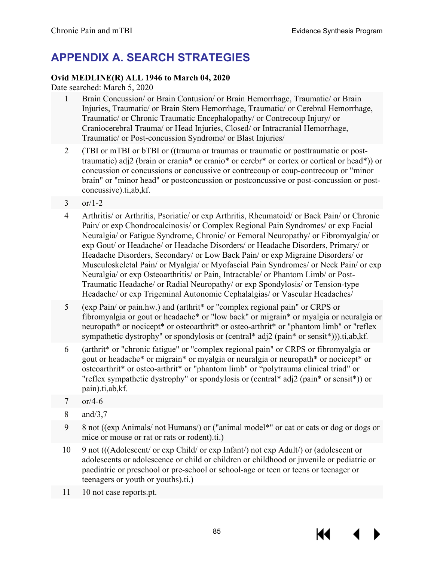# **APPENDIX A. SEARCH STRATEGIES**

## **Ovid MEDLINE(R) ALL 1946 to March 04, 2020**

Date searched: March 5, 2020

- 1 Brain Concussion/ or Brain Contusion/ or Brain Hemorrhage, Traumatic/ or Brain Injuries, Traumatic/ or Brain Stem Hemorrhage, Traumatic/ or Cerebral Hemorrhage, Traumatic/ or Chronic Traumatic Encephalopathy/ or Contrecoup Injury/ or Craniocerebral Trauma/ or Head Injuries, Closed/ or Intracranial Hemorrhage, Traumatic/ or Post-concussion Syndrome/ or Blast Injuries/
- 2 (TBI or mTBI or bTBI or ((trauma or traumas or traumatic or posttraumatic or posttraumatic) adj2 (brain or crania\* or cranio\* or cerebr\* or cortex or cortical or head\*)) or concussion or concussions or concussive or contrecoup or coup-contrecoup or "minor brain" or "minor head" or postconcussion or postconcussive or post-concussion or postconcussive).ti,ab,kf.
- 3 or/1-2
- 4 Arthritis/ or Arthritis, Psoriatic/ or exp Arthritis, Rheumatoid/ or Back Pain/ or Chronic Pain/ or exp Chondrocalcinosis/ or Complex Regional Pain Syndromes/ or exp Facial Neuralgia/ or Fatigue Syndrome, Chronic/ or Femoral Neuropathy/ or Fibromyalgia/ or exp Gout/ or Headache/ or Headache Disorders/ or Headache Disorders, Primary/ or Headache Disorders, Secondary/ or Low Back Pain/ or exp Migraine Disorders/ or Musculoskeletal Pain/ or Myalgia/ or Myofascial Pain Syndromes/ or Neck Pain/ or exp Neuralgia/ or exp Osteoarthritis/ or Pain, Intractable/ or Phantom Limb/ or Post-Traumatic Headache/ or Radial Neuropathy/ or exp Spondylosis/ or Tension-type Headache/ or exp Trigeminal Autonomic Cephalalgias/ or Vascular Headaches/
- 5 (exp Pain/ or pain.hw.) and (arthrit\* or "complex regional pain" or CRPS or fibromyalgia or gout or headache\* or "low back" or migrain\* or myalgia or neuralgia or neuropath\* or nocicept\* or osteoarthrit\* or osteo-arthrit\* or "phantom limb" or "reflex sympathetic dystrophy" or spondylosis or (central\* adj2 (pain\* or sensit\*))).ti,ab,kf.
- 6 (arthrit\* or "chronic fatigue" or "complex regional pain" or CRPS or fibromyalgia or gout or headache\* or migrain\* or myalgia or neuralgia or neuropath\* or nocicept\* or osteoarthrit\* or osteo-arthrit\* or "phantom limb" or "polytrauma clinical triad" or "reflex sympathetic dystrophy" or spondylosis or (central\* adj2 (pain\* or sensit\*)) or pain).ti,ab,kf.
- 7 or/4-6
- 8 and/3,7
- 9 8 not ((exp Animals/ not Humans/) or ("animal model\*" or cat or cats or dog or dogs or mice or mouse or rat or rats or rodent).ti.)
- 10 9 not (((Adolescent/ or exp Child/ or exp Infant/) not exp Adult/) or (adolescent or adolescents or adolescence or child or children or childhood or juvenile or pediatric or paediatric or preschool or pre-school or school-age or teen or teens or teenager or teenagers or youth or youths).ti.)
- 11 10 not case reports.pt.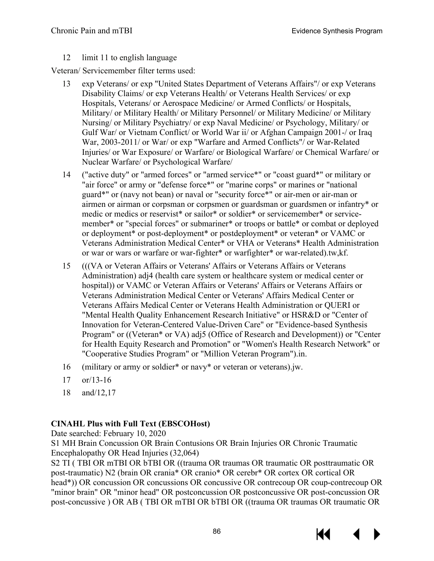### 12 limit 11 to english language

Veteran/ Servicemember filter terms used:

- 13 exp Veterans/ or exp "United States Department of Veterans Affairs"/ or exp Veterans Disability Claims/ or exp Veterans Health/ or Veterans Health Services/ or exp Hospitals, Veterans/ or Aerospace Medicine/ or Armed Conflicts/ or Hospitals, Military/ or Military Health/ or Military Personnel/ or Military Medicine/ or Military Nursing/ or Military Psychiatry/ or exp Naval Medicine/ or Psychology, Military/ or Gulf War/ or Vietnam Conflict/ or World War ii/ or Afghan Campaign 2001-/ or Iraq War, 2003-2011/ or War/ or exp "Warfare and Armed Conflicts"/ or War-Related Injuries/ or War Exposure/ or Warfare/ or Biological Warfare/ or Chemical Warfare/ or Nuclear Warfare/ or Psychological Warfare/
- 14 ("active duty" or "armed forces" or "armed service\*" or "coast guard\*" or military or "air force" or army or "defense force\*" or "marine corps" or marines or "national guard\*" or (navy not bean) or naval or "security force\*" or air-men or air-man or airmen or airman or corpsman or corpsmen or guardsman or guardsmen or infantry\* or medic or medics or reservist\* or sailor\* or soldier\* or servicemember\* or servicemember\* or "special forces" or submariner\* or troops or battle\* or combat or deployed or deployment\* or post-deployment\* or postdeployment\* or veteran\* or VAMC or Veterans Administration Medical Center\* or VHA or Veterans\* Health Administration or war or wars or warfare or war-fighter\* or warfighter\* or war-related).tw,kf.
- 15 (((VA or Veteran Affairs or Veterans' Affairs or Veterans Affairs or Veterans Administration) adj4 (health care system or healthcare system or medical center or hospital)) or VAMC or Veteran Affairs or Veterans' Affairs or Veterans Affairs or Veterans Administration Medical Center or Veterans' Affairs Medical Center or Veterans Affairs Medical Center or Veterans Health Administration or QUERI or "Mental Health Quality Enhancement Research Initiative" or HSR&D or "Center of Innovation for Veteran-Centered Value-Driven Care" or "Evidence-based Synthesis Program" or ((Veteran\* or VA) adj5 (Office of Research and Development)) or "Center for Health Equity Research and Promotion" or "Women's Health Research Network" or "Cooperative Studies Program" or "Million Veteran Program").in.
- 16 (military or army or soldier\* or navy\* or veteran or veterans).jw.
- 17 or/13-16
- 18 and/12,17

## **CINAHL Plus with Full Text (EBSCOHost)**

Date searched: February 10, 2020

S1 MH Brain Concussion OR Brain Contusions OR Brain Injuries OR Chronic Traumatic Encephalopathy OR Head Injuries (32,064)

S2 TI ( TBI OR mTBI OR bTBI OR ((trauma OR traumas OR traumatic OR posttraumatic OR post-traumatic) N2 (brain OR crania\* OR cranio\* OR cerebr\* OR cortex OR cortical OR head\*)) OR concussion OR concussions OR concussive OR contrecoup OR coup-contrecoup OR "minor brain" OR "minor head" OR postconcussion OR postconcussive OR post-concussion OR post-concussive ) OR AB ( TBI OR mTBI OR bTBI OR ((trauma OR traumas OR traumatic OR

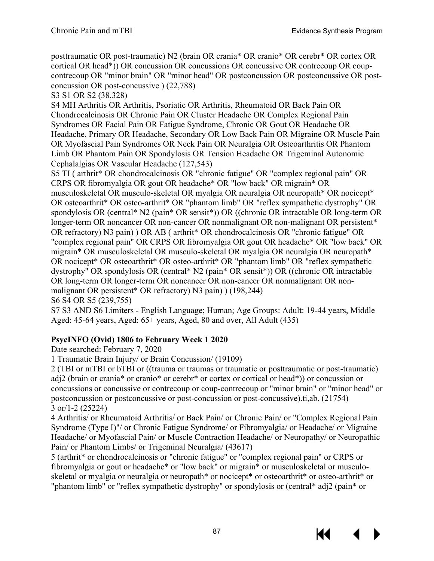posttraumatic OR post-traumatic) N2 (brain OR crania\* OR cranio\* OR cerebr\* OR cortex OR cortical OR head\*)) OR concussion OR concussions OR concussive OR contrecoup OR coupcontrecoup OR "minor brain" OR "minor head" OR postconcussion OR postconcussive OR postconcussion OR post-concussive ) (22,788)

S3 S1 OR S2 (38,328)

S4 MH Arthritis OR Arthritis, Psoriatic OR Arthritis, Rheumatoid OR Back Pain OR Chondrocalcinosis OR Chronic Pain OR Cluster Headache OR Complex Regional Pain Syndromes OR Facial Pain OR Fatigue Syndrome, Chronic OR Gout OR Headache OR Headache, Primary OR Headache, Secondary OR Low Back Pain OR Migraine OR Muscle Pain OR Myofascial Pain Syndromes OR Neck Pain OR Neuralgia OR Osteoarthritis OR Phantom Limb OR Phantom Pain OR Spondylosis OR Tension Headache OR Trigeminal Autonomic Cephalalgias OR Vascular Headache (127,543)

S5 TI ( arthrit\* OR chondrocalcinosis OR "chronic fatigue" OR "complex regional pain" OR CRPS OR fibromyalgia OR gout OR headache\* OR "low back" OR migrain\* OR musculoskeletal OR musculo-skeletal OR myalgia OR neuralgia OR neuropath\* OR nocicept\* OR osteoarthrit\* OR osteo-arthrit\* OR "phantom limb" OR "reflex sympathetic dystrophy" OR spondylosis OR (central\* N2 (pain\* OR sensit\*)) OR ((chronic OR intractable OR long-term OR longer-term OR noncancer OR non-cancer OR nonmalignant OR non-malignant OR persistent<sup>\*</sup> OR refractory) N3 pain) ) OR AB ( arthrit\* OR chondrocalcinosis OR "chronic fatigue" OR "complex regional pain" OR CRPS OR fibromyalgia OR gout OR headache\* OR "low back" OR migrain\* OR musculoskeletal OR musculo-skeletal OR myalgia OR neuralgia OR neuropath\* OR nocicept\* OR osteoarthrit\* OR osteo-arthrit\* OR "phantom limb" OR "reflex sympathetic dystrophy" OR spondylosis OR (central\* N2 (pain\* OR sensit\*)) OR ((chronic OR intractable OR long-term OR longer-term OR noncancer OR non-cancer OR nonmalignant OR nonmalignant OR persistent\* OR refractory) N3 pain) ) (198,244) S6 S4 OR S5 (239,755)

S7 S3 AND S6 Limiters - English Language; Human; Age Groups: Adult: 19-44 years, Middle Aged: 45-64 years, Aged: 65+ years, Aged, 80 and over, All Adult (435)

## **PsycINFO (Ovid) 1806 to February Week 1 2020**

Date searched: February 7, 2020

1 Traumatic Brain Injury/ or Brain Concussion/ (19109)

2 (TBI or mTBI or bTBI or ((trauma or traumas or traumatic or posttraumatic or post-traumatic) adj2 (brain or crania\* or cranio\* or cerebr\* or cortex or cortical or head\*)) or concussion or concussions or concussive or contrecoup or coup-contrecoup or "minor brain" or "minor head" or postconcussion or postconcussive or post-concussion or post-concussive).ti,ab. (21754) 3 or/1-2 (25224)

4 Arthritis/ or Rheumatoid Arthritis/ or Back Pain/ or Chronic Pain/ or "Complex Regional Pain Syndrome (Type I)"/ or Chronic Fatigue Syndrome/ or Fibromyalgia/ or Headache/ or Migraine Headache/ or Myofascial Pain/ or Muscle Contraction Headache/ or Neuropathy/ or Neuropathic Pain/ or Phantom Limbs/ or Trigeminal Neuralgia/ (43617)

5 (arthrit\* or chondrocalcinosis or "chronic fatigue" or "complex regional pain" or CRPS or fibromyalgia or gout or headache\* or "low back" or migrain\* or musculoskeletal or musculoskeletal or myalgia or neuralgia or neuropath\* or nocicept\* or osteoarthrit\* or osteo-arthrit\* or "phantom limb" or "reflex sympathetic dystrophy" or spondylosis or (central\* adj2 (pain\* or

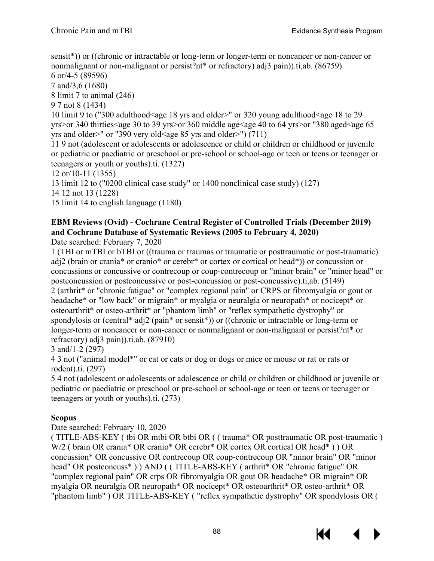sensit\*)) or ((chronic or intractable or long-term or longer-term or noncancer or non-cancer or nonmalignant or non-malignant or persist?nt\* or refractory) adj3 pain)).ti,ab. (86759)

6 or/4-5 (89596) 7 and/3,6 (1680)

8 limit 7 to animal (246)

9 7 not 8 (1434)

10 limit 9 to ("300 adulthood<age 18 yrs and older>" or 320 young adulthood<age 18 to 29 yrs>or 340 thirties<age 30 to 39 yrs>or 360 middle age<age 40 to 64 yrs>or "380 aged<age 65 yrs and older>" or "390 very old<age 85 yrs and older>") (711)

11 9 not (adolescent or adolescents or adolescence or child or children or childhood or juvenile or pediatric or paediatric or preschool or pre-school or school-age or teen or teens or teenager or teenagers or youth or youths).ti. (1327)

12 or/10-11 (1355)

13 limit 12 to ("0200 clinical case study" or 1400 nonclinical case study) (127)

14 12 not 13 (1228)

15 limit 14 to english language (1180)

## **EBM Reviews (Ovid) - Cochrane Central Register of Controlled Trials (December 2019) and Cochrane Database of Systematic Reviews (2005 to February 4, 2020)**

Date searched: February 7, 2020

1 (TBI or mTBI or bTBI or ((trauma or traumas or traumatic or posttraumatic or post-traumatic) adj2 (brain or crania\* or cranio\* or cerebr\* or cortex or cortical or head\*)) or concussion or concussions or concussive or contrecoup or coup-contrecoup or "minor brain" or "minor head" or postconcussion or postconcussive or post-concussion or post-concussive).ti,ab. (5149) 2 (arthrit\* or "chronic fatigue" or "complex regional pain" or CRPS or fibromyalgia or gout or headache<sup>\*</sup> or "low back" or migrain<sup>\*</sup> or myalgia or neuralgia or neuropath<sup>\*</sup> or nocicept<sup>\*</sup> or osteoarthrit\* or osteo-arthrit\* or "phantom limb" or "reflex sympathetic dystrophy" or spondylosis or (central\* adj2 (pain\* or sensit\*)) or ((chronic or intractable or long-term or longer-term or noncancer or non-cancer or nonmalignant or non-malignant or persist?nt\* or refractory) adj3 pain)).ti,ab. (87910)

3 and/1-2 (297)

4 3 not ("animal model\*" or cat or cats or dog or dogs or mice or mouse or rat or rats or rodent).ti. (297)

5 4 not (adolescent or adolescents or adolescence or child or children or childhood or juvenile or pediatric or paediatric or preschool or pre-school or school-age or teen or teens or teenager or teenagers or youth or youths).ti. (273)

## **Scopus**

Date searched: February 10, 2020

( TITLE-ABS-KEY ( tbi OR mtbi OR btbi OR ( ( trauma\* OR posttraumatic OR post-traumatic ) W/2 ( brain OR crania\* OR cranio\* OR cerebr\* OR cortex OR cortical OR head\*) ) OR concussion\* OR concussive OR contrecoup OR coup-contrecoup OR "minor brain" OR "minor head" OR postconcuss\* ) ) AND ( ( TITLE-ABS-KEY ( arthrit\* OR "chronic fatigue" OR "complex regional pain" OR crps OR fibromyalgia OR gout OR headache\* OR migrain\* OR myalgia OR neuralgia OR neuropath\* OR nocicept\* OR osteoarthrit\* OR osteo-arthrit\* OR "phantom limb" ) OR TITLE-ABS-KEY ( "reflex sympathetic dystrophy" OR spondylosis OR (

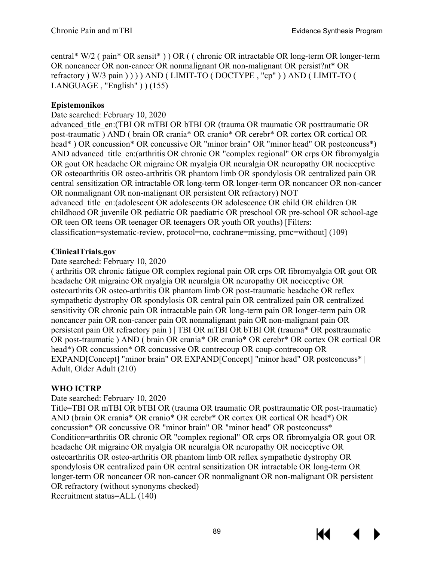central\* W/2 ( pain\* OR sensit\* ) ) OR ( ( chronic OR intractable OR long-term OR longer-term OR noncancer OR non-cancer OR nonmalignant OR non-malignant OR persist?nt\* OR refractory ) W/3 pain ) ) ) ) AND ( LIMIT-TO ( DOCTYPE , "cp" ) ) AND ( LIMIT-TO ( LANGUAGE , "English" ) ) (155)

## **Epistemonikos**

Date searched: February 10, 2020

advanced title en: (TBI OR mTBI OR bTBI OR (trauma OR traumatic OR posttraumatic OR post-traumatic ) AND ( brain OR crania\* OR cranio\* OR cerebr\* OR cortex OR cortical OR head\*) OR concussion\* OR concussive OR "minor brain" OR "minor head" OR postconcuss\*) AND advanced title en: (arthritis OR chronic OR "complex regional" OR crps OR fibromyalgia OR gout OR headache OR migraine OR myalgia OR neuralgia OR neuropathy OR nociceptive OR osteoarthritis OR osteo-arthritis OR phantom limb OR spondylosis OR centralized pain OR central sensitization OR intractable OR long-term OR longer-term OR noncancer OR non-cancer OR nonmalignant OR non-malignant OR persistent OR refractory) NOT advanced\_title\_en:(adolescent OR adolescents OR adolescence OR child OR children OR childhood OR juvenile OR pediatric OR paediatric OR preschool OR pre-school OR school-age OR teen OR teens OR teenager OR teenagers OR youth OR youths) [Filters: classification=systematic-review, protocol=no, cochrane=missing, pmc=without] (109)

### **ClinicalTrials.gov**

### Date searched: February 10, 2020

( arthritis OR chronic fatigue OR complex regional pain OR crps OR fibromyalgia OR gout OR headache OR migraine OR myalgia OR neuralgia OR neuropathy OR nociceptive OR osteoarthrits OR osteo-arthritis OR phantom limb OR post-traumatic headache OR reflex sympathetic dystrophy OR spondylosis OR central pain OR centralized pain OR centralized sensitivity OR chronic pain OR intractable pain OR long-term pain OR longer-term pain OR noncancer pain OR non-cancer pain OR nonmalignant pain OR non-malignant pain OR persistent pain OR refractory pain ) | TBI OR mTBI OR bTBI OR (trauma\* OR posttraumatic OR post-traumatic ) AND ( brain OR crania\* OR cranio\* OR cerebr\* OR cortex OR cortical OR head\*) OR concussion\* OR concussive OR contrecoup OR coup-contrecoup OR EXPAND[Concept] "minor brain" OR EXPAND[Concept] "minor head" OR postconcuss\* | Adult, Older Adult (210)

### **WHO ICTRP**

### Date searched: February 10, 2020

Title=TBI OR mTBI OR bTBI OR (trauma OR traumatic OR posttraumatic OR post-traumatic) AND (brain OR crania\* OR cranio\* OR cerebr\* OR cortex OR cortical OR head\*) OR concussion\* OR concussive OR "minor brain" OR "minor head" OR postconcuss\* Condition=arthritis OR chronic OR "complex regional" OR crps OR fibromyalgia OR gout OR headache OR migraine OR myalgia OR neuralgia OR neuropathy OR nociceptive OR osteoarthritis OR osteo-arthritis OR phantom limb OR reflex sympathetic dystrophy OR spondylosis OR centralized pain OR central sensitization OR intractable OR long-term OR longer-term OR noncancer OR non-cancer OR nonmalignant OR non-malignant OR persistent OR refractory (without synonyms checked) Recruitment status=ALL (140)

89

KI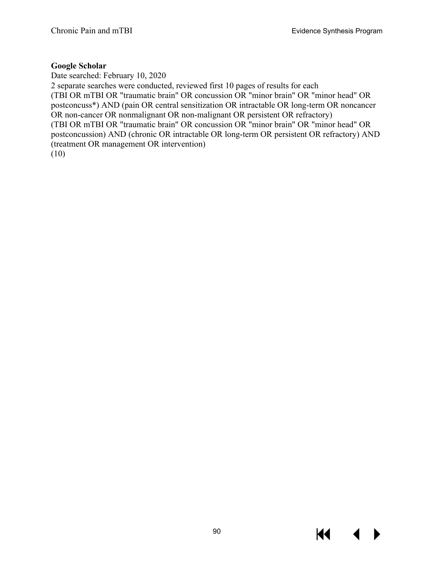### **Google Scholar**

Date searched: February 10, 2020 2 separate searches were conducted, reviewed first 10 pages of results for each (TBI OR mTBI OR "traumatic brain" OR concussion OR "minor brain" OR "minor head" OR postconcuss\*) AND (pain OR central sensitization OR intractable OR long-term OR noncancer OR non-cancer OR nonmalignant OR non-malignant OR persistent OR refractory) (TBI OR mTBI OR "traumatic brain" OR concussion OR "minor brain" OR "minor head" OR postconcussion) AND (chronic OR intractable OR long-term OR persistent OR refractory) AND (treatment OR management OR intervention) (10)

KI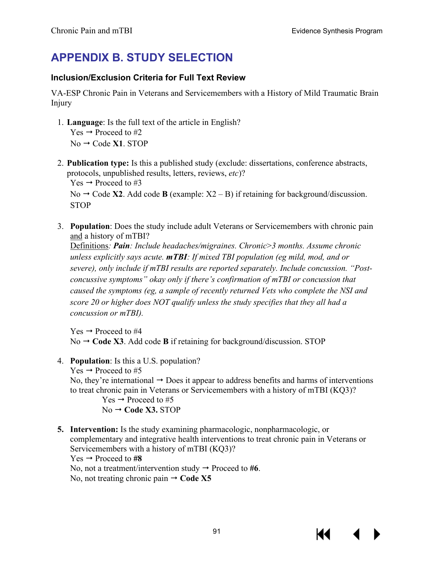# **APPENDIX B. STUDY SELECTION**

## **Inclusion/Exclusion Criteria for Full Text Review**

VA-ESP Chronic Pain in Veterans and Servicemembers with a History of Mild Traumatic Brain Injury

- 1. **Language**: Is the full text of the article in English? Yes  $\rightarrow$  Proceed to #2  $No \rightarrow Code X1$ . STOP
- 2. **Publication type:** Is this a published study (exclude: dissertations, conference abstracts, protocols, unpublished results, letters, reviews, *etc*)? Yes  $\rightarrow$  Proceed to #3

No  $\rightarrow$  Code **X2**. Add code **B** (example: X2 – B) if retaining for background/discussion. STOP

3. **Population**: Does the study include adult Veterans or Servicemembers with chronic pain and a history of mTBI?

Definitions*: Pain: Include headaches/migraines. Chronic*>*3 months. Assume chronic unless explicitly says acute. mTBI: If mixed TBI population (eg mild, mod, and or severe), only include if mTBI results are reported separately. Include concussion. "Postconcussive symptoms" okay only if there's confirmation of mTBI or concussion that caused the symptoms (eg, a sample of recently returned Vets who complete the NSI and score 20 or higher does NOT qualify unless the study specifies that they all had a concussion or mTBI).*

 $Yes \rightarrow Proceed to #4$  $No \rightarrow Code X3$ . Add code **B** if retaining for background/discussion. STOP

- 4. **Population**: Is this a U.S. population?
	- $Yes \rightarrow Proceed to #5$

No, they're international  $\rightarrow$  Does it appear to address benefits and harms of interventions to treat chronic pain in Veterans or Servicemembers with a history of mTBI (KQ3)?

```
Yes \rightarrow Proceed to #5No → Code X3. STOP
```
**5. Intervention:** Is the study examining pharmacologic, nonpharmacologic, or complementary and integrative health interventions to treat chronic pain in Veterans or Servicemembers with a history of mTBI (KQ3)?  $Yes \rightarrow Proceed to #8$ No, not a treatment/intervention study  $\rightarrow$  Proceed to #6. No, not treating chronic pain  $\rightarrow$  Code X5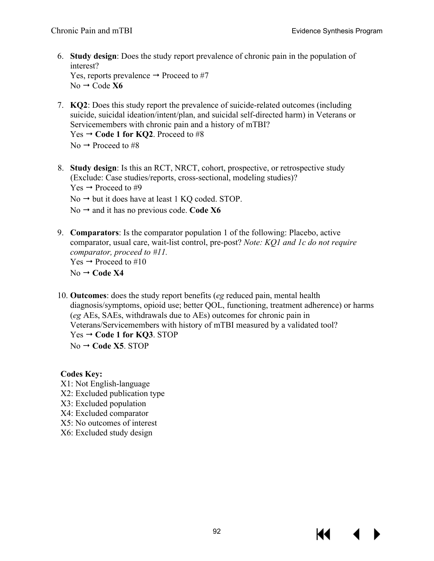- 6. **Study design**: Does the study report prevalence of chronic pain in the population of interest? Yes, reports prevalence  $\rightarrow$  Proceed to #7  $No \rightarrow Code X6$
- 7. **KQ2**: Does this study report the prevalence of suicide-related outcomes (including suicide, suicidal ideation/intent/plan, and suicidal self-directed harm) in Veterans or Servicemembers with chronic pain and a history of mTBI? Yes  $\rightarrow$  Code 1 for KQ2. Proceed to #8  $No \rightarrow Proceed to \#8$
- 8. **Study design**: Is this an RCT, NRCT, cohort, prospective, or retrospective study (Exclude: Case studies/reports, cross-sectional, modeling studies)? Yes  $\rightarrow$  Proceed to #9
	- $No \rightarrow but it does have at least 1 KQ coded. STOP.$
	- No  $\rightarrow$  and it has no previous code. Code X6
- 9. **Comparators**: Is the comparator population 1 of the following: Placebo, active comparator, usual care, wait-list control, pre-post? *Note: KQ1 and 1c do not require comparator, proceed to #11.*   $Yes \rightarrow Proceed to #10$  $No \rightarrow Code X4$
- 10. **Outcomes**: does the study report benefits (*eg* reduced pain, mental health diagnosis/symptoms, opioid use; better QOL, functioning, treatment adherence) or harms (*eg* AEs, SAEs, withdrawals due to AEs) outcomes for chronic pain in Veterans/Servicemembers with history of mTBI measured by a validated tool? Yes **Code 1 for KQ3**. STOP  $No \rightarrow Code X5$ . STOP

### **Codes Key:**

- X1: Not English-language
- X2: Excluded publication type
- X3: Excluded population
- X4: Excluded comparator
- X5: No outcomes of interest
- X6: Excluded study design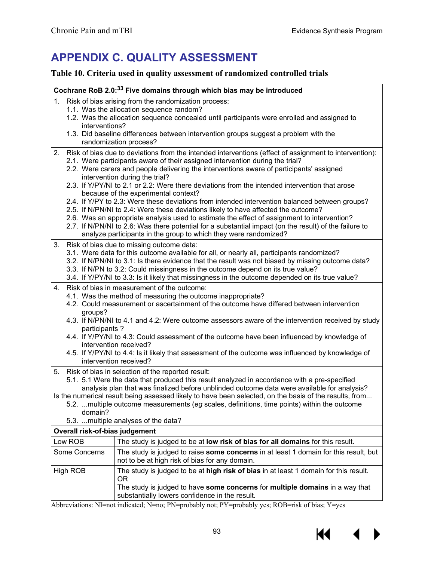# **APPENDIX C. QUALITY ASSESSMENT**

## **Table 10. Criteria used in quality assessment of randomized controlled trials**

|    | Cochrane RoB 2.0: <sup>33</sup> Five domains through which bias may be introduced                                                                                                                                                                                                                                                                                                                                                                                                                                                                                                                   |                                                                                                                                                                                                                                                                                                                                                                                                                                                                                                                                                                                                                                                                                                                                                                                                                                                                                                                                      |  |  |  |  |
|----|-----------------------------------------------------------------------------------------------------------------------------------------------------------------------------------------------------------------------------------------------------------------------------------------------------------------------------------------------------------------------------------------------------------------------------------------------------------------------------------------------------------------------------------------------------------------------------------------------------|--------------------------------------------------------------------------------------------------------------------------------------------------------------------------------------------------------------------------------------------------------------------------------------------------------------------------------------------------------------------------------------------------------------------------------------------------------------------------------------------------------------------------------------------------------------------------------------------------------------------------------------------------------------------------------------------------------------------------------------------------------------------------------------------------------------------------------------------------------------------------------------------------------------------------------------|--|--|--|--|
| 1. | interventions?                                                                                                                                                                                                                                                                                                                                                                                                                                                                                                                                                                                      | Risk of bias arising from the randomization process:<br>1.1. Was the allocation sequence random?<br>1.2. Was the allocation sequence concealed until participants were enrolled and assigned to<br>1.3. Did baseline differences between intervention groups suggest a problem with the<br>randomization process?                                                                                                                                                                                                                                                                                                                                                                                                                                                                                                                                                                                                                    |  |  |  |  |
| 2. |                                                                                                                                                                                                                                                                                                                                                                                                                                                                                                                                                                                                     | Risk of bias due to deviations from the intended interventions (effect of assignment to intervention):<br>2.1. Were participants aware of their assigned intervention during the trial?<br>2.2. Were carers and people delivering the interventions aware of participants' assigned<br>intervention during the trial?<br>2.3. If Y/PY/NI to 2.1 or 2.2: Were there deviations from the intended intervention that arose<br>because of the experimental context?<br>2.4. If Y/PY to 2.3: Were these deviations from intended intervention balanced between groups?<br>2.5. If N/PN/NI to 2.4: Were these deviations likely to have affected the outcome?<br>2.6. Was an appropriate analysis used to estimate the effect of assignment to intervention?<br>2.7. If N/PN/NI to 2.6: Was there potential for a substantial impact (on the result) of the failure to<br>analyze participants in the group to which they were randomized? |  |  |  |  |
| 3. | Risk of bias due to missing outcome data:<br>3.1. Were data for this outcome available for all, or nearly all, participants randomized?<br>3.2. If N/PN/NI to 3.1: Is there evidence that the result was not biased by missing outcome data?<br>3.3. If N/PN to 3.2: Could missingness in the outcome depend on its true value?<br>3.4. If Y/PY/NI to 3.3: Is it likely that missingness in the outcome depended on its true value?                                                                                                                                                                 |                                                                                                                                                                                                                                                                                                                                                                                                                                                                                                                                                                                                                                                                                                                                                                                                                                                                                                                                      |  |  |  |  |
| 4. | Risk of bias in measurement of the outcome:<br>4.1. Was the method of measuring the outcome inappropriate?<br>4.2. Could measurement or ascertainment of the outcome have differed between intervention<br>groups?<br>4.3. If N/PN/NI to 4.1 and 4.2: Were outcome assessors aware of the intervention received by study<br>participants?<br>4.4. If Y/PY/NI to 4.3: Could assessment of the outcome have been influenced by knowledge of<br>intervention received?<br>4.5. If Y/PY/NI to 4.4: Is it likely that assessment of the outcome was influenced by knowledge of<br>intervention received? |                                                                                                                                                                                                                                                                                                                                                                                                                                                                                                                                                                                                                                                                                                                                                                                                                                                                                                                                      |  |  |  |  |
| 5. | Risk of bias in selection of the reported result:<br>5.1. 5.1 Were the data that produced this result analyzed in accordance with a pre-specified<br>analysis plan that was finalized before unblinded outcome data were available for analysis?<br>Is the numerical result being assessed likely to have been selected, on the basis of the results, from<br>5.2. multiple outcome measurements (eg scales, definitions, time points) within the outcome<br>domain?<br>5.3.  multiple analyses of the data?                                                                                        |                                                                                                                                                                                                                                                                                                                                                                                                                                                                                                                                                                                                                                                                                                                                                                                                                                                                                                                                      |  |  |  |  |
|    | Overall risk-of-bias judgement                                                                                                                                                                                                                                                                                                                                                                                                                                                                                                                                                                      |                                                                                                                                                                                                                                                                                                                                                                                                                                                                                                                                                                                                                                                                                                                                                                                                                                                                                                                                      |  |  |  |  |
|    | Low ROB<br>Some Concerns                                                                                                                                                                                                                                                                                                                                                                                                                                                                                                                                                                            | The study is judged to be at low risk of bias for all domains for this result.<br>The study is judged to raise some concerns in at least 1 domain for this result, but<br>not to be at high risk of bias for any domain.                                                                                                                                                                                                                                                                                                                                                                                                                                                                                                                                                                                                                                                                                                             |  |  |  |  |
|    | High ROB                                                                                                                                                                                                                                                                                                                                                                                                                                                                                                                                                                                            | The study is judged to be at high risk of bias in at least 1 domain for this result.<br>0R<br>The study is judged to have some concerns for multiple domains in a way that<br>substantially lowers confidence in the result.<br>Abbreviational MI-not indicated: M-no: DM-probobly not: DV-probobly year POD-rick of bigg: V-year                                                                                                                                                                                                                                                                                                                                                                                                                                                                                                                                                                                                    |  |  |  |  |

Abbreviations: NI=not indicated; N=no; PN=probably not; PY=probably yes; ROB=risk of bias; Y=yes

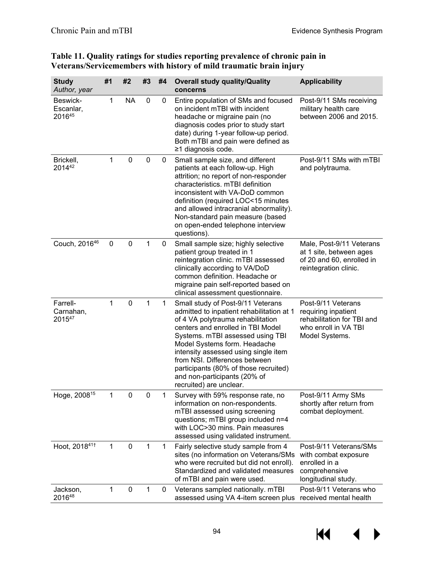| <b>Study</b><br>Author, year    | #1             | #2          | #3          | #4 | <b>Overall study quality/Quality</b><br>concerns                                                                                                                                                                                                                                                                                                                                                          | <b>Applicability</b>                                                                                              |
|---------------------------------|----------------|-------------|-------------|----|-----------------------------------------------------------------------------------------------------------------------------------------------------------------------------------------------------------------------------------------------------------------------------------------------------------------------------------------------------------------------------------------------------------|-------------------------------------------------------------------------------------------------------------------|
| Beswick-<br>Escanlar,<br>201645 | 1              | <b>NA</b>   | 0           | 0  | Entire population of SMs and focused<br>on incident mTBI with incident<br>headache or migraine pain (no<br>diagnosis codes prior to study start<br>date) during 1-year follow-up period.<br>Both mTBI and pain were defined as<br>≥1 diagnosis code.                                                                                                                                                      | Post-9/11 SMs receiving<br>military health care<br>between 2006 and 2015.                                         |
| Brickell,<br>201442             | 1              | $\pmb{0}$   | $\pmb{0}$   | 0  | Small sample size, and different<br>patients at each follow-up. High<br>attrition; no report of non-responder<br>characteristics. mTBI definition<br>inconsistent with VA-DoD common<br>definition (required LOC<15 minutes<br>and allowed intracranial abnormality).<br>Non-standard pain measure (based<br>on open-ended telephone interview<br>questions).                                             | Post-9/11 SMs with mTBI<br>and polytrauma.                                                                        |
| Couch, 201646                   | 0              | 0           | 1           | 0  | Small sample size; highly selective<br>patient group treated in 1<br>reintegration clinic. mTBI assessed<br>clinically according to VA/DoD<br>common definition. Headache or<br>migraine pain self-reported based on<br>clinical assessment questionnaire.                                                                                                                                                | Male, Post-9/11 Veterans<br>at 1 site, between ages<br>of 20 and 60, enrolled in<br>reintegration clinic.         |
| Farrell-<br>Carnahan,<br>201547 | 1              | 0           | 1           | 1  | Small study of Post-9/11 Veterans<br>admitted to inpatient rehabilitation at 1<br>of 4 VA polytrauma rehabilitation<br>centers and enrolled in TBI Model<br>Systems. mTBI assessed using TBI<br>Model Systems form. Headache<br>intensity assessed using single item<br>from NSI. Differences between<br>participants (80% of those recruited)<br>and non-participants (20% of<br>recruited) are unclear. | Post-9/11 Veterans<br>requiring inpatient<br>rehabilitation for TBI and<br>who enroll in VA TBI<br>Model Systems. |
| Hoge, 2008 <sup>15</sup>        | $\overline{1}$ | $\mathbf 0$ |             |    | Survey with 59% response rate, no<br>information on non-respondents.<br>mTBI assessed using screening<br>questions; mTBI group included n=4<br>with LOC>30 mins. Pain measures<br>assessed using validated instrument.                                                                                                                                                                                    | Post-9/11 Army SMs<br>shortly after return from<br>combat deployment.                                             |
| Hoot, 201841+                   | $\mathbf{1}$   | $\mathbf 0$ | 1           | 1  | Fairly selective study sample from 4<br>sites (no information on Veterans/SMs<br>who were recruited but did not enroll).<br>Standardized and validated measures<br>of mTBI and pain were used.                                                                                                                                                                                                            | Post-9/11 Veterans/SMs<br>with combat exposure<br>enrolled in a<br>comprehensive<br>longitudinal study.           |
| Jackson,<br>201648              | 1              | 0           | $\mathbf 1$ | 0  | Veterans sampled nationally. mTBI<br>assessed using VA 4-item screen plus                                                                                                                                                                                                                                                                                                                                 | Post-9/11 Veterans who<br>received mental health                                                                  |

### **Table 11. Quality ratings for studies reporting prevalence of chronic pain in Veterans/Servicemembers with history of mild traumatic brain injury**

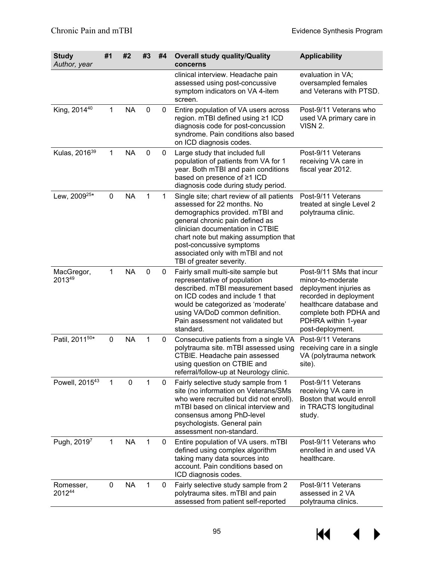| <b>Study</b><br>Author, year | #1           | #2        | #3           | #4           | <b>Overall study quality/Quality</b><br>concerns                                                                                                                                                                                                                                                                        | <b>Applicability</b>                                                                                                                                                                              |
|------------------------------|--------------|-----------|--------------|--------------|-------------------------------------------------------------------------------------------------------------------------------------------------------------------------------------------------------------------------------------------------------------------------------------------------------------------------|---------------------------------------------------------------------------------------------------------------------------------------------------------------------------------------------------|
|                              |              |           |              |              | clinical interview. Headache pain<br>assessed using post-concussive<br>symptom indicators on VA 4-item<br>screen.                                                                                                                                                                                                       | evaluation in VA;<br>oversampled females<br>and Veterans with PTSD.                                                                                                                               |
| King, 2014 <sup>40</sup>     | 1            | <b>NA</b> | $\mathbf 0$  | 0            | Entire population of VA users across<br>region. mTBI defined using ≥1 ICD<br>diagnosis code for post-concussion<br>syndrome. Pain conditions also based<br>on ICD diagnosis codes.                                                                                                                                      | Post-9/11 Veterans who<br>used VA primary care in<br>VISN 2.                                                                                                                                      |
| Kulas, 2016 <sup>39</sup>    | $\mathbf{1}$ | <b>NA</b> | $\mathbf 0$  | 0            | Large study that included full<br>population of patients from VA for 1<br>year. Both mTBI and pain conditions<br>based on presence of ≥1 ICD<br>diagnosis code during study period.                                                                                                                                     | Post-9/11 Veterans<br>receiving VA care in<br>fiscal year 2012.                                                                                                                                   |
| Lew, 2009 <sup>25*</sup>     | $\mathbf 0$  | <b>NA</b> | $\mathbf{1}$ | $\mathbf{1}$ | Single site; chart review of all patients<br>assessed for 22 months. No<br>demographics provided. mTBI and<br>general chronic pain defined as<br>clinician documentation in CTBIE<br>chart note but making assumption that<br>post-concussive symptoms<br>associated only with mTBI and not<br>TBI of greater severity. | Post-9/11 Veterans<br>treated at single Level 2<br>polytrauma clinic.                                                                                                                             |
| MacGregor,<br>201349         | 1            | <b>NA</b> | $\mathbf 0$  | $\mathbf 0$  | Fairly small multi-site sample but<br>representative of population<br>described. mTBI measurement based<br>on ICD codes and include 1 that<br>would be categorized as 'moderate'<br>using VA/DoD common definition.<br>Pain assessment not validated but<br>standard.                                                   | Post-9/11 SMs that incur<br>minor-to-moderate<br>deployment injuries as<br>recorded in deployment<br>healthcare database and<br>complete both PDHA and<br>PDHRA within 1-year<br>post-deployment. |
| Patil, 201150*               | $\pmb{0}$    | <b>NA</b> | $\mathbf{1}$ | 0            | Consecutive patients from a single VA<br>polytrauma site. mTBI assessed using<br>CTBIE. Headache pain assessed<br>using question on CTBIE and<br>referral/follow-up at Neurology clinic.                                                                                                                                | Post-9/11 Veterans<br>receiving care in a single<br>VA (polytrauma network<br>site).                                                                                                              |
| Powell, 201543               | 1            | 0         | 1            | 0            | Fairly selective study sample from 1<br>site (no information on Veterans/SMs<br>who were recruited but did not enroll).<br>mTBI based on clinical interview and<br>consensus among PhD-level<br>psychologists. General pain<br>assessment non-standard.                                                                 | Post-9/11 Veterans<br>receiving VA care in<br>Boston that would enroll<br>in TRACTS longitudinal<br>study.                                                                                        |
| Pugh, 20197                  | $\mathbf{1}$ | <b>NA</b> | 1            | 0            | Entire population of VA users. mTBI<br>defined using complex algorithm<br>taking many data sources into<br>account. Pain conditions based on<br>ICD diagnosis codes.                                                                                                                                                    | Post-9/11 Veterans who<br>enrolled in and used VA<br>healthcare.                                                                                                                                  |
| Romesser,<br>201244          | 0            | <b>NA</b> | $\mathbf{1}$ | 0            | Fairly selective study sample from 2<br>polytrauma sites. mTBI and pain<br>assessed from patient self-reported                                                                                                                                                                                                          | Post-9/11 Veterans<br>assessed in 2 VA<br>polytrauma clinics.                                                                                                                                     |

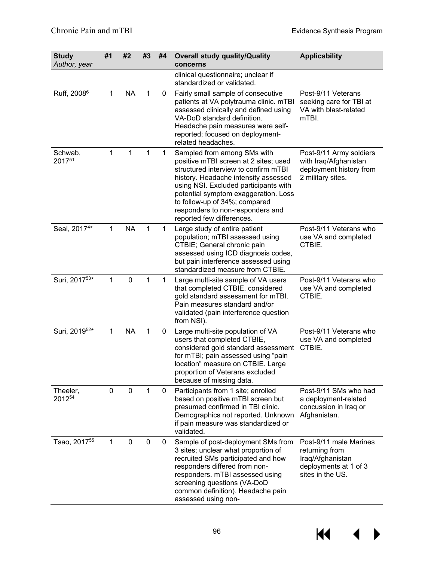| <b>Study</b><br>Author, year | #1           | #2          | #3           | #4          | <b>Overall study quality/Quality</b><br>concerns                                                                                                                                                                                                                                                                                        | <b>Applicability</b>                                                                                      |
|------------------------------|--------------|-------------|--------------|-------------|-----------------------------------------------------------------------------------------------------------------------------------------------------------------------------------------------------------------------------------------------------------------------------------------------------------------------------------------|-----------------------------------------------------------------------------------------------------------|
|                              |              |             |              |             | clinical questionnaire; unclear if<br>standardized or validated.                                                                                                                                                                                                                                                                        |                                                                                                           |
| Ruff, 2008 <sup>6</sup>      | 1            | <b>NA</b>   | 1            | 0           | Fairly small sample of consecutive<br>patients at VA polytrauma clinic. mTBI<br>assessed clinically and defined using<br>VA-DoD standard definition.<br>Headache pain measures were self-<br>reported; focused on deployment-<br>related headaches.                                                                                     | Post-9/11 Veterans<br>seeking care for TBI at<br>VA with blast-related<br>mTBI.                           |
| Schwab,<br>201751            | 1            | 1           | 1            | 1           | Sampled from among SMs with<br>positive mTBI screen at 2 sites; used<br>structured interview to confirm mTBI<br>history. Headache intensity assessed<br>using NSI. Excluded participants with<br>potential symptom exaggeration. Loss<br>to follow-up of 34%; compared<br>responders to non-responders and<br>reported few differences. | Post-9/11 Army soldiers<br>with Iraq/Afghanistan<br>deployment history from<br>2 military sites.          |
| Seal, 2017 <sup>4*</sup>     | $\mathbf{1}$ | <b>NA</b>   | $\mathbf{1}$ | $\mathbf 1$ | Large study of entire patient<br>population; mTBI assessed using<br>CTBIE; General chronic pain<br>assessed using ICD diagnosis codes,<br>but pain interference assessed using<br>standardized measure from CTBIE.                                                                                                                      | Post-9/11 Veterans who<br>use VA and completed<br>CTBIE.                                                  |
| Suri, 201753*                | 1            | $\mathbf 0$ | 1            | 1           | Large multi-site sample of VA users<br>that completed CTBIE, considered<br>gold standard assessment for mTBI.<br>Pain measures standard and/or<br>validated (pain interference question<br>from NSI).                                                                                                                                   | Post-9/11 Veterans who<br>use VA and completed<br>CTBIE.                                                  |
| Suri, 2019 <sup>52*</sup>    | 1            | <b>NA</b>   | 1            | 0           | Large multi-site population of VA<br>users that completed CTBIE,<br>considered gold standard assessment<br>for mTBI; pain assessed using "pain<br>location" measure on CTBIE. Large<br>proportion of Veterans excluded<br>because of missing data.                                                                                      | Post-9/11 Veterans who<br>use VA and completed<br>CTBIE.                                                  |
| Theeler,<br>201254           | 0            | 0           | 1            | 0           | Participants from 1 site; enrolled<br>based on positive mTBI screen but<br>presumed confirmed in TBI clinic.<br>Demographics not reported. Unknown<br>if pain measure was standardized or<br>validated.                                                                                                                                 | Post-9/11 SMs who had<br>a deployment-related<br>concussion in Iraq or<br>Afghanistan.                    |
| Tsao, 2017 <sup>55</sup>     | 1            | 0           | 0            | 0           | Sample of post-deployment SMs from<br>3 sites; unclear what proportion of<br>recruited SMs participated and how<br>responders differed from non-<br>responders. mTBI assessed using<br>screening questions (VA-DoD<br>common definition). Headache pain<br>assessed using non-                                                          | Post-9/11 male Marines<br>returning from<br>Iraq/Afghanistan<br>deployments at 1 of 3<br>sites in the US. |

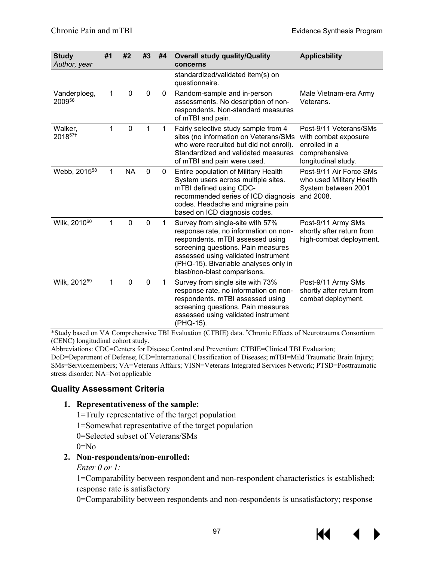| <b>Study</b><br>Author, year | #1           | #2           | #3          | #4           | <b>Overall study quality/Quality</b><br>concerns                                                                                                                                                                                                                    | <b>Applicability</b>                                                                                    |
|------------------------------|--------------|--------------|-------------|--------------|---------------------------------------------------------------------------------------------------------------------------------------------------------------------------------------------------------------------------------------------------------------------|---------------------------------------------------------------------------------------------------------|
|                              |              |              |             |              | standardized/validated item(s) on<br>questionnaire.                                                                                                                                                                                                                 |                                                                                                         |
| Vanderploeg,<br>200956       | 1            | $\mathbf 0$  | $\mathbf 0$ | 0            | Random-sample and in-person<br>assessments. No description of non-<br>respondents. Non-standard measures<br>of mTBI and pain.                                                                                                                                       | Male Vietnam-era Army<br>Veterans.                                                                      |
| Walker,<br>2018571           | 1            | $\mathbf 0$  | 1           | $\mathbf{1}$ | Fairly selective study sample from 4<br>sites (no information on Veterans/SMs<br>who were recruited but did not enroll).<br>Standardized and validated measures<br>of mTBI and pain were used.                                                                      | Post-9/11 Veterans/SMs<br>with combat exposure<br>enrolled in a<br>comprehensive<br>longitudinal study. |
| Webb, 2015 <sup>58</sup>     | $\mathbf{1}$ | <b>NA</b>    | $\mathbf 0$ | 0            | Entire population of Military Health<br>System users across multiple sites.<br>mTBI defined using CDC-<br>recommended series of ICD diagnosis<br>codes. Headache and migraine pain<br>based on ICD diagnosis codes.                                                 | Post-9/11 Air Force SMs<br>who used Military Health<br>System between 2001<br>and 2008.                 |
| Wilk, 2010 <sup>60</sup>     | 1            | $\mathbf{0}$ | $\mathbf 0$ | 1            | Survey from single-site with 57%<br>response rate, no information on non-<br>respondents. mTBI assessed using<br>screening questions. Pain measures<br>assessed using validated instrument<br>(PHQ-15). Bivariable analyses only in<br>blast/non-blast comparisons. | Post-9/11 Army SMs<br>shortly after return from<br>high-combat deployment.                              |
| Wilk, 2012 <sup>59</sup>     | 1            | $\mathbf 0$  | $\mathbf 0$ | 1            | Survey from single site with 73%<br>response rate, no information on non-<br>respondents. mTBI assessed using<br>screening questions. Pain measures<br>assessed using validated instrument<br>(PHQ-15).                                                             | Post-9/11 Army SMs<br>shortly after return from<br>combat deployment.                                   |

\*Study based on VA Comprehensive TBI Evaluation (CTBIE) data. † Chronic Effects of Neurotrauma Consortium (CENC) longitudinal cohort study.

Abbreviations: CDC=Centers for Disease Control and Prevention; CTBIE=Clinical TBI Evaluation; DoD=Department of Defense; ICD=International Classification of Diseases; mTBI=Mild Traumatic Brain Injury; SMs=Servicemembers; VA=Veterans Affairs; VISN=Veterans Integrated Services Network; PTSD=Posttraumatic stress disorder; NA=Not applicable

## **Quality Assessment Criteria**

#### **1. Representativeness of the sample:**

- 1=Truly representative of the target population
- 1=Somewhat representative of the target population
- 0=Selected subset of Veterans/SMs

 $0 = No$ 

### **2. Non-respondents/non-enrolled:**

*Enter 0 or 1:*

1=Comparability between respondent and non-respondent characteristics is established; response rate is satisfactory

0=Comparability between respondents and non-respondents is unsatisfactory; response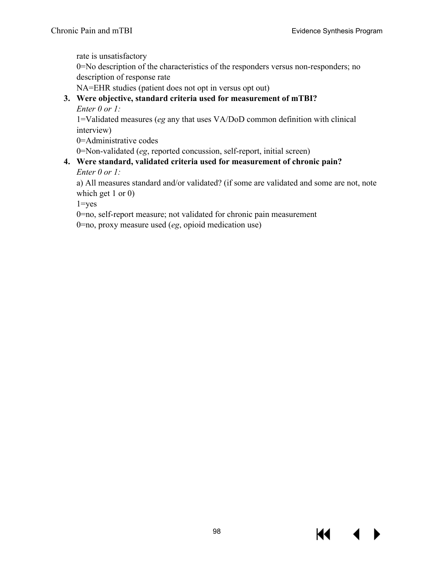rate is unsatisfactory

0=No description of the characteristics of the responders versus non-responders; no description of response rate

NA=EHR studies (patient does not opt in versus opt out)

## **3. Were objective, standard criteria used for measurement of mTBI?**

*Enter 0 or 1:*

1=Validated measures (*eg* any that uses VA/DoD common definition with clinical interview)

0=Administrative codes

0=Non-validated (*eg*, reported concussion, self-report, initial screen)

### **4. Were standard, validated criteria used for measurement of chronic pain?** *Enter 0 or 1:*

a) All measures standard and/or validated? (if some are validated and some are not, note which get 1 or 0)

 $1 = yes$ 

0=no, self-report measure; not validated for chronic pain measurement

0=no, proxy measure used (*eg*, opioid medication use)

14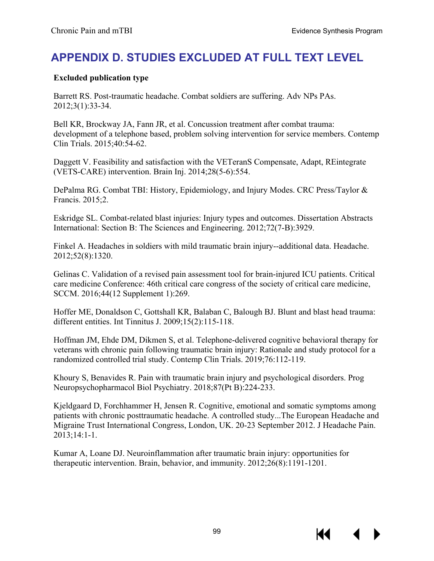# **APPENDIX D. STUDIES EXCLUDED AT FULL TEXT LEVEL**

### **Excluded publication type**

Barrett RS. Post-traumatic headache. Combat soldiers are suffering. Adv NPs PAs. 2012;3(1):33-34.

Bell KR, Brockway JA, Fann JR, et al. Concussion treatment after combat trauma: development of a telephone based, problem solving intervention for service members. Contemp Clin Trials. 2015;40:54-62.

Daggett V. Feasibility and satisfaction with the VETeranS Compensate, Adapt, REintegrate (VETS-CARE) intervention. Brain Inj. 2014;28(5-6):554.

DePalma RG. Combat TBI: History, Epidemiology, and Injury Modes. CRC Press/Taylor & Francis. 2015;2.

Eskridge SL. Combat-related blast injuries: Injury types and outcomes. Dissertation Abstracts International: Section B: The Sciences and Engineering. 2012;72(7-B):3929.

Finkel A. Headaches in soldiers with mild traumatic brain injury--additional data. Headache. 2012;52(8):1320.

Gelinas C. Validation of a revised pain assessment tool for brain-injured ICU patients. Critical care medicine Conference: 46th critical care congress of the society of critical care medicine, SCCM. 2016;44(12 Supplement 1):269.

Hoffer ME, Donaldson C, Gottshall KR, Balaban C, Balough BJ. Blunt and blast head trauma: different entities. Int Tinnitus J. 2009;15(2):115-118.

Hoffman JM, Ehde DM, Dikmen S, et al. Telephone-delivered cognitive behavioral therapy for veterans with chronic pain following traumatic brain injury: Rationale and study protocol for a randomized controlled trial study. Contemp Clin Trials. 2019;76:112-119.

Khoury S, Benavides R. Pain with traumatic brain injury and psychological disorders. Prog Neuropsychopharmacol Biol Psychiatry. 2018;87(Pt B):224-233.

Kjeldgaard D, Forchhammer H, Jensen R. Cognitive, emotional and somatic symptoms among patients with chronic posttraumatic headache. A controlled study...The European Headache and Migraine Trust International Congress, London, UK. 20-23 September 2012. J Headache Pain. 2013;14:1-1.

Kumar A, Loane DJ. Neuroinflammation after traumatic brain injury: opportunities for therapeutic intervention. Brain, behavior, and immunity. 2012;26(8):1191-1201.

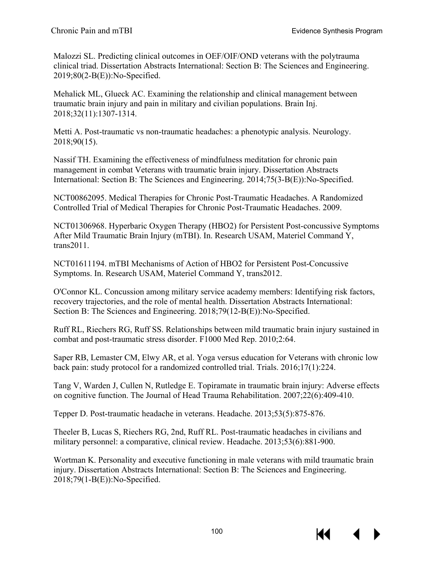Malozzi SL. Predicting clinical outcomes in OEF/OIF/OND veterans with the polytrauma clinical triad. Dissertation Abstracts International: Section B: The Sciences and Engineering. 2019;80(2-B(E)):No-Specified.

Mehalick ML, Glueck AC. Examining the relationship and clinical management between traumatic brain injury and pain in military and civilian populations. Brain Inj. 2018;32(11):1307-1314.

Metti A. Post-traumatic vs non-traumatic headaches: a phenotypic analysis. Neurology. 2018;90(15).

Nassif TH. Examining the effectiveness of mindfulness meditation for chronic pain management in combat Veterans with traumatic brain injury. Dissertation Abstracts International: Section B: The Sciences and Engineering. 2014;75(3-B(E)):No-Specified.

NCT00862095. Medical Therapies for Chronic Post-Traumatic Headaches. A Randomized Controlled Trial of Medical Therapies for Chronic Post-Traumatic Headaches. 2009.

NCT01306968. Hyperbaric Oxygen Therapy (HBO2) for Persistent Post-concussive Symptoms After Mild Traumatic Brain Injury (mTBI). In. Research USAM, Materiel Command Y, trans2011.

NCT01611194. mTBI Mechanisms of Action of HBO2 for Persistent Post-Concussive Symptoms. In. Research USAM, Materiel Command Y, trans2012.

O'Connor KL. Concussion among military service academy members: Identifying risk factors, recovery trajectories, and the role of mental health. Dissertation Abstracts International: Section B: The Sciences and Engineering. 2018;79(12-B(E)):No-Specified.

Ruff RL, Riechers RG, Ruff SS. Relationships between mild traumatic brain injury sustained in combat and post-traumatic stress disorder. F1000 Med Rep. 2010;2:64.

Saper RB, Lemaster CM, Elwy AR, et al. Yoga versus education for Veterans with chronic low back pain: study protocol for a randomized controlled trial. Trials. 2016;17(1):224.

Tang V, Warden J, Cullen N, Rutledge E. Topiramate in traumatic brain injury: Adverse effects on cognitive function. The Journal of Head Trauma Rehabilitation. 2007;22(6):409-410.

Tepper D. Post-traumatic headache in veterans. Headache. 2013;53(5):875-876.

Theeler B, Lucas S, Riechers RG, 2nd, Ruff RL. Post-traumatic headaches in civilians and military personnel: a comparative, clinical review. Headache. 2013;53(6):881-900.

Wortman K. Personality and executive functioning in male veterans with mild traumatic brain injury. Dissertation Abstracts International: Section B: The Sciences and Engineering. 2018;79(1-B(E)):No-Specified.



К€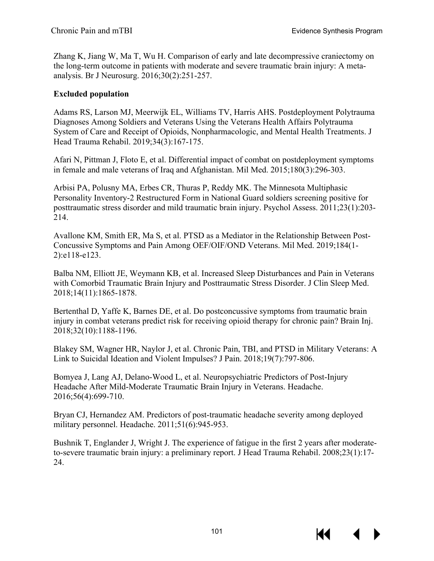Zhang K, Jiang W, Ma T, Wu H. Comparison of early and late decompressive craniectomy on the long-term outcome in patients with moderate and severe traumatic brain injury: A metaanalysis. Br J Neurosurg. 2016;30(2):251-257.

## **Excluded population**

Adams RS, Larson MJ, Meerwijk EL, Williams TV, Harris AHS. Postdeployment Polytrauma Diagnoses Among Soldiers and Veterans Using the Veterans Health Affairs Polytrauma System of Care and Receipt of Opioids, Nonpharmacologic, and Mental Health Treatments. J Head Trauma Rehabil. 2019;34(3):167-175.

Afari N, Pittman J, Floto E, et al. Differential impact of combat on postdeployment symptoms in female and male veterans of Iraq and Afghanistan. Mil Med. 2015;180(3):296-303.

Arbisi PA, Polusny MA, Erbes CR, Thuras P, Reddy MK. The Minnesota Multiphasic Personality Inventory-2 Restructured Form in National Guard soldiers screening positive for posttraumatic stress disorder and mild traumatic brain injury. Psychol Assess. 2011;23(1):203- 214.

Avallone KM, Smith ER, Ma S, et al. PTSD as a Mediator in the Relationship Between Post-Concussive Symptoms and Pain Among OEF/OIF/OND Veterans. Mil Med. 2019;184(1- 2):e118-e123.

Balba NM, Elliott JE, Weymann KB, et al. Increased Sleep Disturbances and Pain in Veterans with Comorbid Traumatic Brain Injury and Posttraumatic Stress Disorder. J Clin Sleep Med. 2018;14(11):1865-1878.

Bertenthal D, Yaffe K, Barnes DE, et al. Do postconcussive symptoms from traumatic brain injury in combat veterans predict risk for receiving opioid therapy for chronic pain? Brain Inj. 2018;32(10):1188-1196.

Blakey SM, Wagner HR, Naylor J, et al. Chronic Pain, TBI, and PTSD in Military Veterans: A Link to Suicidal Ideation and Violent Impulses? J Pain. 2018;19(7):797-806.

Bomyea J, Lang AJ, Delano-Wood L, et al. Neuropsychiatric Predictors of Post-Injury Headache After Mild-Moderate Traumatic Brain Injury in Veterans. Headache. 2016;56(4):699-710.

Bryan CJ, Hernandez AM. Predictors of post-traumatic headache severity among deployed military personnel. Headache. 2011;51(6):945-953.

Bushnik T, Englander J, Wright J. The experience of fatigue in the first 2 years after moderateto-severe traumatic brain injury: a preliminary report. J Head Trauma Rehabil. 2008;23(1):17- 24.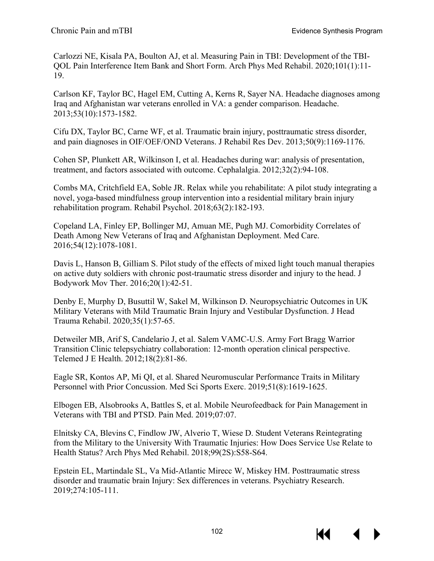Carlozzi NE, Kisala PA, Boulton AJ, et al. Measuring Pain in TBI: Development of the TBI-QOL Pain Interference Item Bank and Short Form. Arch Phys Med Rehabil. 2020;101(1):11- 19.

Carlson KF, Taylor BC, Hagel EM, Cutting A, Kerns R, Sayer NA. Headache diagnoses among Iraq and Afghanistan war veterans enrolled in VA: a gender comparison. Headache. 2013;53(10):1573-1582.

Cifu DX, Taylor BC, Carne WF, et al. Traumatic brain injury, posttraumatic stress disorder, and pain diagnoses in OIF/OEF/OND Veterans. J Rehabil Res Dev. 2013;50(9):1169-1176.

Cohen SP, Plunkett AR, Wilkinson I, et al. Headaches during war: analysis of presentation, treatment, and factors associated with outcome. Cephalalgia. 2012;32(2):94-108.

Combs MA, Critchfield EA, Soble JR. Relax while you rehabilitate: A pilot study integrating a novel, yoga-based mindfulness group intervention into a residential military brain injury rehabilitation program. Rehabil Psychol. 2018;63(2):182-193.

Copeland LA, Finley EP, Bollinger MJ, Amuan ME, Pugh MJ. Comorbidity Correlates of Death Among New Veterans of Iraq and Afghanistan Deployment. Med Care. 2016;54(12):1078-1081.

Davis L, Hanson B, Gilliam S. Pilot study of the effects of mixed light touch manual therapies on active duty soldiers with chronic post-traumatic stress disorder and injury to the head. J Bodywork Mov Ther. 2016;20(1):42-51.

Denby E, Murphy D, Busuttil W, Sakel M, Wilkinson D. Neuropsychiatric Outcomes in UK Military Veterans with Mild Traumatic Brain Injury and Vestibular Dysfunction. J Head Trauma Rehabil. 2020;35(1):57-65.

Detweiler MB, Arif S, Candelario J, et al. Salem VAMC-U.S. Army Fort Bragg Warrior Transition Clinic telepsychiatry collaboration: 12-month operation clinical perspective. Telemed J E Health. 2012;18(2):81-86.

Eagle SR, Kontos AP, Mi QI, et al. Shared Neuromuscular Performance Traits in Military Personnel with Prior Concussion. Med Sci Sports Exerc. 2019;51(8):1619-1625.

Elbogen EB, Alsobrooks A, Battles S, et al. Mobile Neurofeedback for Pain Management in Veterans with TBI and PTSD. Pain Med. 2019;07:07.

Elnitsky CA, Blevins C, Findlow JW, Alverio T, Wiese D. Student Veterans Reintegrating from the Military to the University With Traumatic Injuries: How Does Service Use Relate to Health Status? Arch Phys Med Rehabil. 2018;99(2S):S58-S64.

Epstein EL, Martindale SL, Va Mid-Atlantic Mirecc W, Miskey HM. Posttraumatic stress disorder and traumatic brain Injury: Sex differences in veterans. Psychiatry Research. 2019;274:105-111.

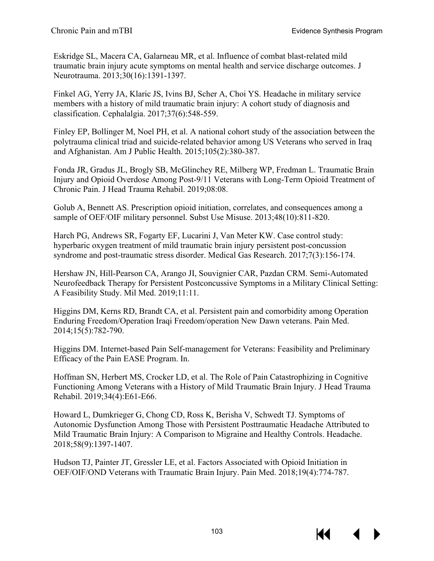Eskridge SL, Macera CA, Galarneau MR, et al. Influence of combat blast-related mild traumatic brain injury acute symptoms on mental health and service discharge outcomes. J Neurotrauma. 2013;30(16):1391-1397.

Finkel AG, Yerry JA, Klaric JS, Ivins BJ, Scher A, Choi YS. Headache in military service members with a history of mild traumatic brain injury: A cohort study of diagnosis and classification. Cephalalgia. 2017;37(6):548-559.

Finley EP, Bollinger M, Noel PH, et al. A national cohort study of the association between the polytrauma clinical triad and suicide-related behavior among US Veterans who served in Iraq and Afghanistan. Am J Public Health. 2015;105(2):380-387.

Fonda JR, Gradus JL, Brogly SB, McGlinchey RE, Milberg WP, Fredman L. Traumatic Brain Injury and Opioid Overdose Among Post-9/11 Veterans with Long-Term Opioid Treatment of Chronic Pain. J Head Trauma Rehabil. 2019;08:08.

Golub A, Bennett AS. Prescription opioid initiation, correlates, and consequences among a sample of OEF/OIF military personnel. Subst Use Misuse. 2013;48(10):811-820.

Harch PG, Andrews SR, Fogarty EF, Lucarini J, Van Meter KW. Case control study: hyperbaric oxygen treatment of mild traumatic brain injury persistent post-concussion syndrome and post-traumatic stress disorder. Medical Gas Research. 2017;7(3):156-174.

Hershaw JN, Hill-Pearson CA, Arango JI, Souvignier CAR, Pazdan CRM. Semi-Automated Neurofeedback Therapy for Persistent Postconcussive Symptoms in a Military Clinical Setting: A Feasibility Study. Mil Med. 2019;11:11.

Higgins DM, Kerns RD, Brandt CA, et al. Persistent pain and comorbidity among Operation Enduring Freedom/Operation Iraqi Freedom/operation New Dawn veterans. Pain Med. 2014;15(5):782-790.

Higgins DM. Internet-based Pain Self-management for Veterans: Feasibility and Preliminary Efficacy of the Pain EASE Program. In.

Hoffman SN, Herbert MS, Crocker LD, et al. The Role of Pain Catastrophizing in Cognitive Functioning Among Veterans with a History of Mild Traumatic Brain Injury. J Head Trauma Rehabil. 2019;34(4):E61-E66.

Howard L, Dumkrieger G, Chong CD, Ross K, Berisha V, Schwedt TJ. Symptoms of Autonomic Dysfunction Among Those with Persistent Posttraumatic Headache Attributed to Mild Traumatic Brain Injury: A Comparison to Migraine and Healthy Controls. Headache. 2018;58(9):1397-1407.

Hudson TJ, Painter JT, Gressler LE, et al. Factors Associated with Opioid Initiation in OEF/OIF/OND Veterans with Traumatic Brain Injury. Pain Med. 2018;19(4):774-787.

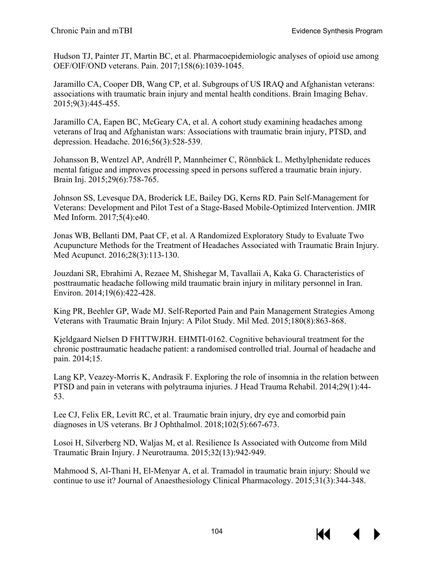Hudson TJ, Painter JT, Martin BC, et al. Pharmacoepidemiologic analyses of opioid use among OEF/OIF/OND veterans. Pain. 2017;158(6):1039-1045.

Jaramillo CA, Cooper DB, Wang CP, et al. Subgroups of US IRAQ and Afghanistan veterans: associations with traumatic brain injury and mental health conditions. Brain Imaging Behav. 2015;9(3):445-455.

Jaramillo CA, Eapen BC, McGeary CA, et al. A cohort study examining headaches among veterans of Iraq and Afghanistan wars: Associations with traumatic brain injury, PTSD, and depression. Headache. 2016;56(3):528-539.

Johansson B, Wentzel AP, Andréll P, Mannheimer C, Rönnbäck L. Methylphenidate reduces mental fatigue and improves processing speed in persons suffered a traumatic brain injury. Brain Inj. 2015;29(6):758-765.

Johnson SS, Levesque DA, Broderick LE, Bailey DG, Kerns RD. Pain Self-Management for Veterans: Development and Pilot Test of a Stage-Based Mobile-Optimized Intervention. JMIR Med Inform. 2017;5(4):e40.

Jonas WB, Bellanti DM, Paat CF, et al. A Randomized Exploratory Study to Evaluate Two Acupuncture Methods for the Treatment of Headaches Associated with Traumatic Brain Injury. Med Acupunct. 2016;28(3):113-130.

Jouzdani SR, Ebrahimi A, Rezaee M, Shishegar M, Tavallaii A, Kaka G. Characteristics of posttraumatic headache following mild traumatic brain injury in military personnel in Iran. Environ. 2014;19(6):422-428.

King PR, Beehler GP, Wade MJ. Self-Reported Pain and Pain Management Strategies Among Veterans with Traumatic Brain Injury: A Pilot Study. Mil Med. 2015;180(8):863-868.

Kjeldgaard Nielsen D FHTTWJRH. EHMTI-0162. Cognitive behavioural treatment for the chronic posttraumatic headache patient: a randomised controlled trial. Journal of headache and pain. 2014;15.

Lang KP, Veazey-Morris K, Andrasik F. Exploring the role of insomnia in the relation between PTSD and pain in veterans with polytrauma injuries. J Head Trauma Rehabil. 2014;29(1):44- 53.

Lee CJ, Felix ER, Levitt RC, et al. Traumatic brain injury, dry eye and comorbid pain diagnoses in US veterans. Br J Ophthalmol. 2018;102(5):667-673.

Losoi H, Silverberg ND, Waljas M, et al. Resilience Is Associated with Outcome from Mild Traumatic Brain Injury. J Neurotrauma. 2015;32(13):942-949.

Mahmood S, Al-Thani H, El-Menyar A, et al. Tramadol in traumatic brain injury: Should we continue to use it? Journal of Anaesthesiology Clinical Pharmacology. 2015;31(3):344-348.

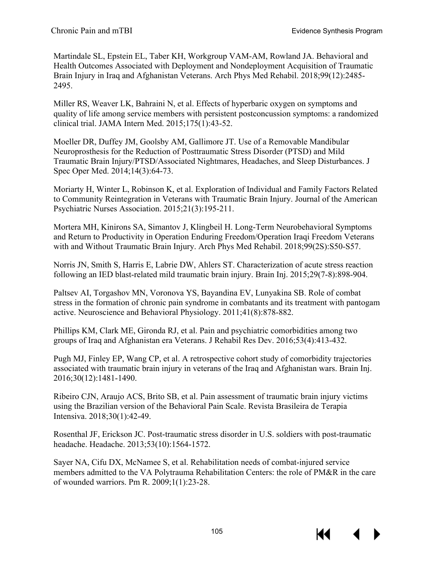Martindale SL, Epstein EL, Taber KH, Workgroup VAM-AM, Rowland JA. Behavioral and Health Outcomes Associated with Deployment and Nondeployment Acquisition of Traumatic Brain Injury in Iraq and Afghanistan Veterans. Arch Phys Med Rehabil. 2018;99(12):2485- 2495.

Miller RS, Weaver LK, Bahraini N, et al. Effects of hyperbaric oxygen on symptoms and quality of life among service members with persistent postconcussion symptoms: a randomized clinical trial. JAMA Intern Med. 2015;175(1):43-52.

Moeller DR, Duffey JM, Goolsby AM, Gallimore JT. Use of a Removable Mandibular Neuroprosthesis for the Reduction of Posttraumatic Stress Disorder (PTSD) and Mild Traumatic Brain Injury/PTSD/Associated Nightmares, Headaches, and Sleep Disturbances. J Spec Oper Med. 2014;14(3):64-73.

Moriarty H, Winter L, Robinson K, et al. Exploration of Individual and Family Factors Related to Community Reintegration in Veterans with Traumatic Brain Injury. Journal of the American Psychiatric Nurses Association. 2015;21(3):195-211.

Mortera MH, Kinirons SA, Simantov J, Klingbeil H. Long-Term Neurobehavioral Symptoms and Return to Productivity in Operation Enduring Freedom/Operation Iraqi Freedom Veterans with and Without Traumatic Brain Injury. Arch Phys Med Rehabil. 2018;99(2S):S50-S57.

Norris JN, Smith S, Harris E, Labrie DW, Ahlers ST. Characterization of acute stress reaction following an IED blast-related mild traumatic brain injury. Brain Inj. 2015;29(7-8):898-904.

Paltsev AI, Torgashov MN, Voronova YS, Bayandina EV, Lunyakina SB. Role of combat stress in the formation of chronic pain syndrome in combatants and its treatment with pantogam active. Neuroscience and Behavioral Physiology. 2011;41(8):878-882.

Phillips KM, Clark ME, Gironda RJ, et al. Pain and psychiatric comorbidities among two groups of Iraq and Afghanistan era Veterans. J Rehabil Res Dev. 2016;53(4):413-432.

Pugh MJ, Finley EP, Wang CP, et al. A retrospective cohort study of comorbidity trajectories associated with traumatic brain injury in veterans of the Iraq and Afghanistan wars. Brain Inj. 2016;30(12):1481-1490.

Ribeiro CJN, Araujo ACS, Brito SB, et al. Pain assessment of traumatic brain injury victims using the Brazilian version of the Behavioral Pain Scale. Revista Brasileira de Terapia Intensiva. 2018;30(1):42-49.

Rosenthal JF, Erickson JC. Post-traumatic stress disorder in U.S. soldiers with post-traumatic headache. Headache. 2013;53(10):1564-1572.

Sayer NA, Cifu DX, McNamee S, et al. Rehabilitation needs of combat-injured service members admitted to the VA Polytrauma Rehabilitation Centers: the role of PM&R in the care of wounded warriors. Pm R. 2009;1(1):23-28.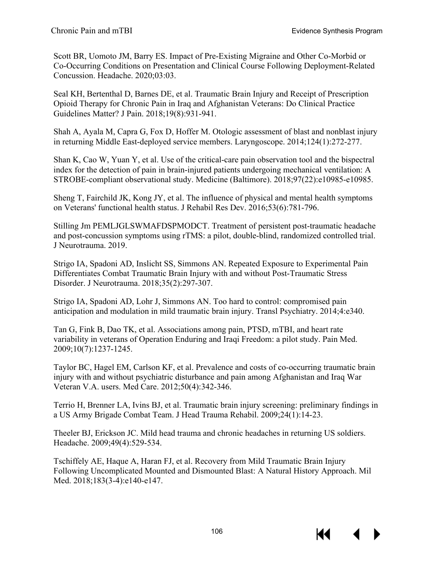Scott BR, Uomoto JM, Barry ES. Impact of Pre-Existing Migraine and Other Co-Morbid or Co-Occurring Conditions on Presentation and Clinical Course Following Deployment-Related Concussion. Headache. 2020;03:03.

Seal KH, Bertenthal D, Barnes DE, et al. Traumatic Brain Injury and Receipt of Prescription Opioid Therapy for Chronic Pain in Iraq and Afghanistan Veterans: Do Clinical Practice Guidelines Matter? J Pain. 2018;19(8):931-941.

Shah A, Ayala M, Capra G, Fox D, Hoffer M. Otologic assessment of blast and nonblast injury in returning Middle East-deployed service members. Laryngoscope. 2014;124(1):272-277.

Shan K, Cao W, Yuan Y, et al. Use of the critical-care pain observation tool and the bispectral index for the detection of pain in brain-injured patients undergoing mechanical ventilation: A STROBE-compliant observational study. Medicine (Baltimore). 2018;97(22):e10985-e10985.

Sheng T, Fairchild JK, Kong JY, et al. The influence of physical and mental health symptoms on Veterans' functional health status. J Rehabil Res Dev. 2016;53(6):781-796.

Stilling Jm PEMLJGLSWMAFDSPMODCT. Treatment of persistent post-traumatic headache and post-concussion symptoms using rTMS: a pilot, double-blind, randomized controlled trial. J Neurotrauma. 2019.

Strigo IA, Spadoni AD, Inslicht SS, Simmons AN. Repeated Exposure to Experimental Pain Differentiates Combat Traumatic Brain Injury with and without Post-Traumatic Stress Disorder. J Neurotrauma. 2018;35(2):297-307.

Strigo IA, Spadoni AD, Lohr J, Simmons AN. Too hard to control: compromised pain anticipation and modulation in mild traumatic brain injury. Transl Psychiatry. 2014;4:e340.

Tan G, Fink B, Dao TK, et al. Associations among pain, PTSD, mTBI, and heart rate variability in veterans of Operation Enduring and Iraqi Freedom: a pilot study. Pain Med. 2009;10(7):1237-1245.

Taylor BC, Hagel EM, Carlson KF, et al. Prevalence and costs of co-occurring traumatic brain injury with and without psychiatric disturbance and pain among Afghanistan and Iraq War Veteran V.A. users. Med Care. 2012;50(4):342-346.

Terrio H, Brenner LA, Ivins BJ, et al. Traumatic brain injury screening: preliminary findings in a US Army Brigade Combat Team. J Head Trauma Rehabil. 2009;24(1):14-23.

Theeler BJ, Erickson JC. Mild head trauma and chronic headaches in returning US soldiers. Headache. 2009;49(4):529-534.

Tschiffely AE, Haque A, Haran FJ, et al. Recovery from Mild Traumatic Brain Injury Following Uncomplicated Mounted and Dismounted Blast: A Natural History Approach. Mil Med. 2018;183(3-4):e140-e147.

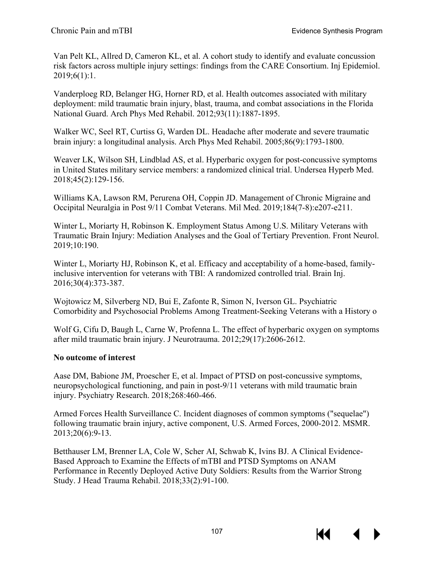Van Pelt KL, Allred D, Cameron KL, et al. A cohort study to identify and evaluate concussion risk factors across multiple injury settings: findings from the CARE Consortium. Inj Epidemiol. 2019;6(1):1.

Vanderploeg RD, Belanger HG, Horner RD, et al. Health outcomes associated with military deployment: mild traumatic brain injury, blast, trauma, and combat associations in the Florida National Guard. Arch Phys Med Rehabil. 2012;93(11):1887-1895.

Walker WC, Seel RT, Curtiss G, Warden DL. Headache after moderate and severe traumatic brain injury: a longitudinal analysis. Arch Phys Med Rehabil. 2005;86(9):1793-1800.

Weaver LK, Wilson SH, Lindblad AS, et al. Hyperbaric oxygen for post-concussive symptoms in United States military service members: a randomized clinical trial. Undersea Hyperb Med. 2018;45(2):129-156.

Williams KA, Lawson RM, Perurena OH, Coppin JD. Management of Chronic Migraine and Occipital Neuralgia in Post 9/11 Combat Veterans. Mil Med. 2019;184(7-8):e207-e211.

Winter L, Moriarty H, Robinson K. Employment Status Among U.S. Military Veterans with Traumatic Brain Injury: Mediation Analyses and the Goal of Tertiary Prevention. Front Neurol. 2019;10:190.

Winter L, Moriarty HJ, Robinson K, et al. Efficacy and acceptability of a home-based, familyinclusive intervention for veterans with TBI: A randomized controlled trial. Brain Inj. 2016;30(4):373-387.

Wojtowicz M, Silverberg ND, Bui E, Zafonte R, Simon N, Iverson GL. Psychiatric Comorbidity and Psychosocial Problems Among Treatment-Seeking Veterans with a History o

Wolf G, Cifu D, Baugh L, Carne W, Profenna L. The effect of hyperbaric oxygen on symptoms after mild traumatic brain injury. J Neurotrauma. 2012;29(17):2606-2612.

### **No outcome of interest**

Aase DM, Babione JM, Proescher E, et al. Impact of PTSD on post-concussive symptoms, neuropsychological functioning, and pain in post-9/11 veterans with mild traumatic brain injury. Psychiatry Research. 2018;268:460-466.

Armed Forces Health Surveillance C. Incident diagnoses of common symptoms ("sequelae") following traumatic brain injury, active component, U.S. Armed Forces, 2000-2012. MSMR. 2013;20(6):9-13.

Betthauser LM, Brenner LA, Cole W, Scher AI, Schwab K, Ivins BJ. A Clinical Evidence-Based Approach to Examine the Effects of mTBI and PTSD Symptoms on ANAM Performance in Recently Deployed Active Duty Soldiers: Results from the Warrior Strong Study. J Head Trauma Rehabil. 2018;33(2):91-100.

К€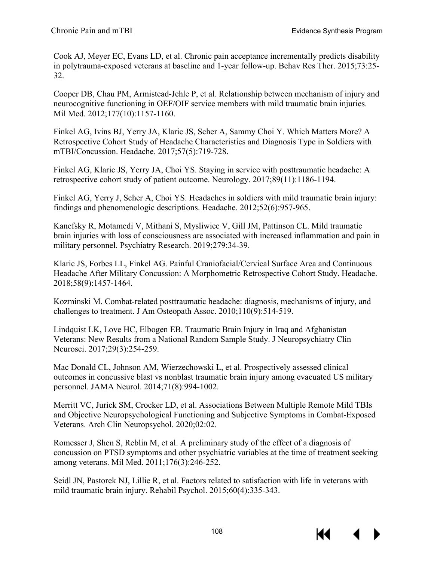Cook AJ, Meyer EC, Evans LD, et al. Chronic pain acceptance incrementally predicts disability in polytrauma-exposed veterans at baseline and 1-year follow-up. Behav Res Ther. 2015;73:25- 32.

Cooper DB, Chau PM, Armistead-Jehle P, et al. Relationship between mechanism of injury and neurocognitive functioning in OEF/OIF service members with mild traumatic brain injuries. Mil Med. 2012;177(10):1157-1160.

Finkel AG, Ivins BJ, Yerry JA, Klaric JS, Scher A, Sammy Choi Y. Which Matters More? A Retrospective Cohort Study of Headache Characteristics and Diagnosis Type in Soldiers with mTBI/Concussion. Headache. 2017;57(5):719-728.

Finkel AG, Klaric JS, Yerry JA, Choi YS. Staying in service with posttraumatic headache: A retrospective cohort study of patient outcome. Neurology. 2017;89(11):1186-1194.

Finkel AG, Yerry J, Scher A, Choi YS. Headaches in soldiers with mild traumatic brain injury: findings and phenomenologic descriptions. Headache. 2012;52(6):957-965.

Kanefsky R, Motamedi V, Mithani S, Mysliwiec V, Gill JM, Pattinson CL. Mild traumatic brain injuries with loss of consciousness are associated with increased inflammation and pain in military personnel. Psychiatry Research. 2019;279:34-39.

Klaric JS, Forbes LL, Finkel AG. Painful Craniofacial/Cervical Surface Area and Continuous Headache After Military Concussion: A Morphometric Retrospective Cohort Study. Headache. 2018;58(9):1457-1464.

Kozminski M. Combat-related posttraumatic headache: diagnosis, mechanisms of injury, and challenges to treatment. J Am Osteopath Assoc. 2010;110(9):514-519.

Lindquist LK, Love HC, Elbogen EB. Traumatic Brain Injury in Iraq and Afghanistan Veterans: New Results from a National Random Sample Study. J Neuropsychiatry Clin Neurosci. 2017;29(3):254-259.

Mac Donald CL, Johnson AM, Wierzechowski L, et al. Prospectively assessed clinical outcomes in concussive blast vs nonblast traumatic brain injury among evacuated US military personnel. JAMA Neurol. 2014;71(8):994-1002.

Merritt VC, Jurick SM, Crocker LD, et al. Associations Between Multiple Remote Mild TBIs and Objective Neuropsychological Functioning and Subjective Symptoms in Combat-Exposed Veterans. Arch Clin Neuropsychol. 2020;02:02.

Romesser J, Shen S, Reblin M, et al. A preliminary study of the effect of a diagnosis of concussion on PTSD symptoms and other psychiatric variables at the time of treatment seeking among veterans. Mil Med. 2011;176(3):246-252.

Seidl JN, Pastorek NJ, Lillie R, et al. Factors related to satisfaction with life in veterans with mild traumatic brain injury. Rehabil Psychol. 2015;60(4):335-343.

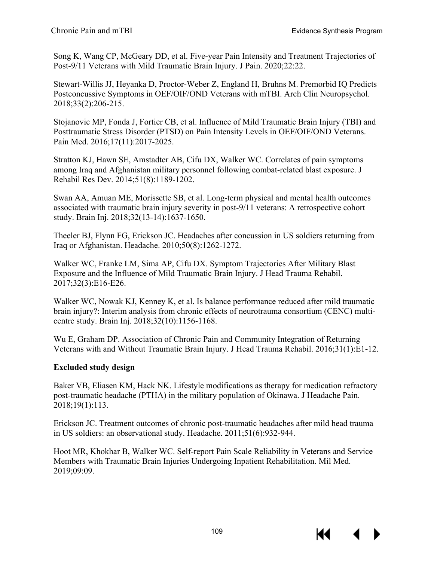Song K, Wang CP, McGeary DD, et al. Five-year Pain Intensity and Treatment Trajectories of Post-9/11 Veterans with Mild Traumatic Brain Injury. J Pain. 2020;22:22.

Stewart-Willis JJ, Heyanka D, Proctor-Weber Z, England H, Bruhns M. Premorbid IQ Predicts Postconcussive Symptoms in OEF/OIF/OND Veterans with mTBI. Arch Clin Neuropsychol. 2018;33(2):206-215.

Stojanovic MP, Fonda J, Fortier CB, et al. Influence of Mild Traumatic Brain Injury (TBI) and Posttraumatic Stress Disorder (PTSD) on Pain Intensity Levels in OEF/OIF/OND Veterans. Pain Med. 2016;17(11):2017-2025.

Stratton KJ, Hawn SE, Amstadter AB, Cifu DX, Walker WC. Correlates of pain symptoms among Iraq and Afghanistan military personnel following combat-related blast exposure. J Rehabil Res Dev. 2014;51(8):1189-1202.

Swan AA, Amuan ME, Morissette SB, et al. Long-term physical and mental health outcomes associated with traumatic brain injury severity in post-9/11 veterans: A retrospective cohort study. Brain Inj. 2018;32(13-14):1637-1650.

Theeler BJ, Flynn FG, Erickson JC. Headaches after concussion in US soldiers returning from Iraq or Afghanistan. Headache. 2010;50(8):1262-1272.

Walker WC, Franke LM, Sima AP, Cifu DX. Symptom Trajectories After Military Blast Exposure and the Influence of Mild Traumatic Brain Injury. J Head Trauma Rehabil. 2017;32(3):E16-E26.

Walker WC, Nowak KJ, Kenney K, et al. Is balance performance reduced after mild traumatic brain injury?: Interim analysis from chronic effects of neurotrauma consortium (CENC) multicentre study. Brain Inj. 2018;32(10):1156-1168.

Wu E, Graham DP. Association of Chronic Pain and Community Integration of Returning Veterans with and Without Traumatic Brain Injury. J Head Trauma Rehabil. 2016;31(1):E1-12.

## **Excluded study design**

Baker VB, Eliasen KM, Hack NK. Lifestyle modifications as therapy for medication refractory post-traumatic headache (PTHA) in the military population of Okinawa. J Headache Pain. 2018;19(1):113.

Erickson JC. Treatment outcomes of chronic post-traumatic headaches after mild head trauma in US soldiers: an observational study. Headache. 2011;51(6):932-944.

Hoot MR, Khokhar B, Walker WC. Self-report Pain Scale Reliability in Veterans and Service Members with Traumatic Brain Injuries Undergoing Inpatient Rehabilitation. Mil Med. 2019;09:09.

К€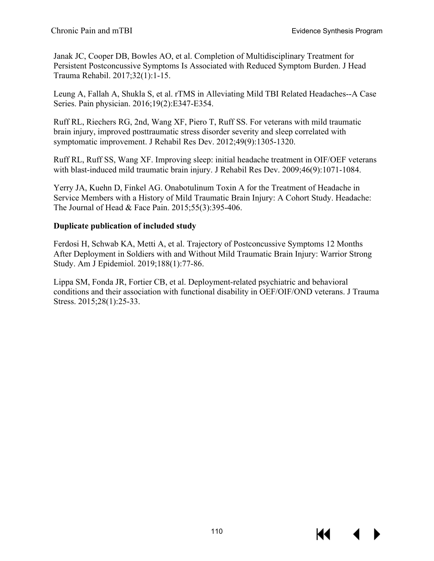Janak JC, Cooper DB, Bowles AO, et al. Completion of Multidisciplinary Treatment for Persistent Postconcussive Symptoms Is Associated with Reduced Symptom Burden. J Head Trauma Rehabil. 2017;32(1):1-15.

Leung A, Fallah A, Shukla S, et al. rTMS in Alleviating Mild TBI Related Headaches--A Case Series. Pain physician. 2016;19(2):E347-E354.

Ruff RL, Riechers RG, 2nd, Wang XF, Piero T, Ruff SS. For veterans with mild traumatic brain injury, improved posttraumatic stress disorder severity and sleep correlated with symptomatic improvement. J Rehabil Res Dev. 2012;49(9):1305-1320.

Ruff RL, Ruff SS, Wang XF. Improving sleep: initial headache treatment in OIF/OEF veterans with blast-induced mild traumatic brain injury. J Rehabil Res Dev. 2009;46(9):1071-1084.

Yerry JA, Kuehn D, Finkel AG. Onabotulinum Toxin A for the Treatment of Headache in Service Members with a History of Mild Traumatic Brain Injury: A Cohort Study. Headache: The Journal of Head & Face Pain. 2015;55(3):395-406.

### **Duplicate publication of included study**

Ferdosi H, Schwab KA, Metti A, et al. Trajectory of Postconcussive Symptoms 12 Months After Deployment in Soldiers with and Without Mild Traumatic Brain Injury: Warrior Strong Study. Am J Epidemiol. 2019;188(1):77-86.

Lippa SM, Fonda JR, Fortier CB, et al. Deployment-related psychiatric and behavioral conditions and their association with functional disability in OEF/OIF/OND veterans. J Trauma Stress. 2015;28(1):25-33.

KI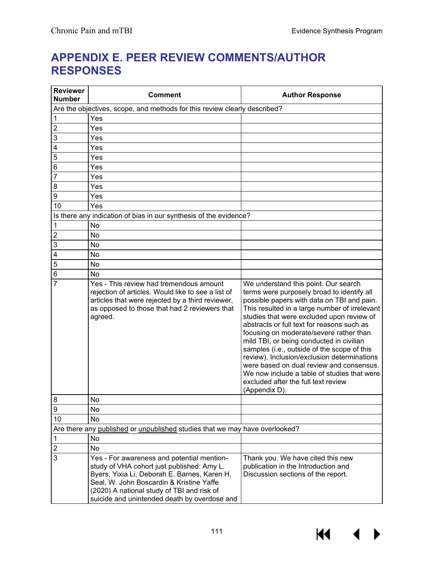# **APPENDIX E. PEER REVIEW COMMENTS/AUTHOR RESPONSES**

| <b>Reviewer</b><br><b>Number</b>                                          | <b>Comment</b>                                                                                                                                                                                                                                                                     | <b>Author Response</b>                                                                                                                                                                                                                                                                                                                                                                                                                                                                                                                                                                                               |  |  |  |  |  |  |
|---------------------------------------------------------------------------|------------------------------------------------------------------------------------------------------------------------------------------------------------------------------------------------------------------------------------------------------------------------------------|----------------------------------------------------------------------------------------------------------------------------------------------------------------------------------------------------------------------------------------------------------------------------------------------------------------------------------------------------------------------------------------------------------------------------------------------------------------------------------------------------------------------------------------------------------------------------------------------------------------------|--|--|--|--|--|--|
| Are the objectives, scope, and methods for this review clearly described? |                                                                                                                                                                                                                                                                                    |                                                                                                                                                                                                                                                                                                                                                                                                                                                                                                                                                                                                                      |  |  |  |  |  |  |
| 1                                                                         | Yes                                                                                                                                                                                                                                                                                |                                                                                                                                                                                                                                                                                                                                                                                                                                                                                                                                                                                                                      |  |  |  |  |  |  |
| $\overline{2}$                                                            | Yes                                                                                                                                                                                                                                                                                |                                                                                                                                                                                                                                                                                                                                                                                                                                                                                                                                                                                                                      |  |  |  |  |  |  |
| 3                                                                         | Yes                                                                                                                                                                                                                                                                                |                                                                                                                                                                                                                                                                                                                                                                                                                                                                                                                                                                                                                      |  |  |  |  |  |  |
| 4                                                                         | Yes                                                                                                                                                                                                                                                                                |                                                                                                                                                                                                                                                                                                                                                                                                                                                                                                                                                                                                                      |  |  |  |  |  |  |
| 5                                                                         | Yes                                                                                                                                                                                                                                                                                |                                                                                                                                                                                                                                                                                                                                                                                                                                                                                                                                                                                                                      |  |  |  |  |  |  |
| $\,6$                                                                     | Yes                                                                                                                                                                                                                                                                                |                                                                                                                                                                                                                                                                                                                                                                                                                                                                                                                                                                                                                      |  |  |  |  |  |  |
| $\overline{7}$                                                            | Yes                                                                                                                                                                                                                                                                                |                                                                                                                                                                                                                                                                                                                                                                                                                                                                                                                                                                                                                      |  |  |  |  |  |  |
| 8                                                                         | Yes                                                                                                                                                                                                                                                                                |                                                                                                                                                                                                                                                                                                                                                                                                                                                                                                                                                                                                                      |  |  |  |  |  |  |
| $\boldsymbol{9}$                                                          | Yes                                                                                                                                                                                                                                                                                |                                                                                                                                                                                                                                                                                                                                                                                                                                                                                                                                                                                                                      |  |  |  |  |  |  |
| 10                                                                        | Yes                                                                                                                                                                                                                                                                                |                                                                                                                                                                                                                                                                                                                                                                                                                                                                                                                                                                                                                      |  |  |  |  |  |  |
|                                                                           | Is there any indication of bias in our synthesis of the evidence?                                                                                                                                                                                                                  |                                                                                                                                                                                                                                                                                                                                                                                                                                                                                                                                                                                                                      |  |  |  |  |  |  |
| $\mathbf{1}$                                                              | No                                                                                                                                                                                                                                                                                 |                                                                                                                                                                                                                                                                                                                                                                                                                                                                                                                                                                                                                      |  |  |  |  |  |  |
| $\overline{c}$                                                            | No                                                                                                                                                                                                                                                                                 |                                                                                                                                                                                                                                                                                                                                                                                                                                                                                                                                                                                                                      |  |  |  |  |  |  |
| 3                                                                         | No                                                                                                                                                                                                                                                                                 |                                                                                                                                                                                                                                                                                                                                                                                                                                                                                                                                                                                                                      |  |  |  |  |  |  |
| $\overline{4}$                                                            | No                                                                                                                                                                                                                                                                                 |                                                                                                                                                                                                                                                                                                                                                                                                                                                                                                                                                                                                                      |  |  |  |  |  |  |
| $\sqrt{5}$                                                                | No                                                                                                                                                                                                                                                                                 |                                                                                                                                                                                                                                                                                                                                                                                                                                                                                                                                                                                                                      |  |  |  |  |  |  |
| $\overline{6}$                                                            | No                                                                                                                                                                                                                                                                                 |                                                                                                                                                                                                                                                                                                                                                                                                                                                                                                                                                                                                                      |  |  |  |  |  |  |
| $\overline{7}$                                                            | Yes - This review had tremendous amount<br>rejection of articles. Would like to see a list of<br>articles that were rejected by a third reviewer,<br>as opposed to those that had 2 reviewers that<br>agreed.                                                                      | We understand this point. Our search<br>terms were purposely broad to identify all<br>possible papers with data on TBI and pain.<br>This resulted in a large number of irrelevant<br>studies that were excluded upon review of<br>abstracts or full text for reasons such as<br>focusing on moderate/severe rather than<br>mild TBI, or being conducted in civilian<br>samples (i.e., outside of the scope of this<br>review). Inclusion/exclusion determinations<br>were based on dual review and consensus.<br>We now include a table of studies that were<br>excluded after the full text review<br>(Appendix D). |  |  |  |  |  |  |
| 8                                                                         | No                                                                                                                                                                                                                                                                                 |                                                                                                                                                                                                                                                                                                                                                                                                                                                                                                                                                                                                                      |  |  |  |  |  |  |
| 9                                                                         | No                                                                                                                                                                                                                                                                                 |                                                                                                                                                                                                                                                                                                                                                                                                                                                                                                                                                                                                                      |  |  |  |  |  |  |
| 10                                                                        | No                                                                                                                                                                                                                                                                                 |                                                                                                                                                                                                                                                                                                                                                                                                                                                                                                                                                                                                                      |  |  |  |  |  |  |
|                                                                           | Are there any published or unpublished studies that we may have overlooked?                                                                                                                                                                                                        |                                                                                                                                                                                                                                                                                                                                                                                                                                                                                                                                                                                                                      |  |  |  |  |  |  |
| $\mathbf 1$                                                               | No                                                                                                                                                                                                                                                                                 |                                                                                                                                                                                                                                                                                                                                                                                                                                                                                                                                                                                                                      |  |  |  |  |  |  |
| $\overline{\mathbf{c}}$                                                   | No                                                                                                                                                                                                                                                                                 |                                                                                                                                                                                                                                                                                                                                                                                                                                                                                                                                                                                                                      |  |  |  |  |  |  |
| 3                                                                         | Yes - For awareness and potential mention-<br>study of VHA cohort just published: Amy L.<br>Byers, Yixia Li, Deborah E. Barnes, Karen H.<br>Seal, W. John Boscardin & Kristine Yaffe<br>(2020) A national study of TBI and risk of<br>suicide and unintended death by overdose and | Thank you. We have cited this new<br>publication in the Introduction and<br>Discussion sections of the report.                                                                                                                                                                                                                                                                                                                                                                                                                                                                                                       |  |  |  |  |  |  |



**K4** 

 $\blacktriangleright$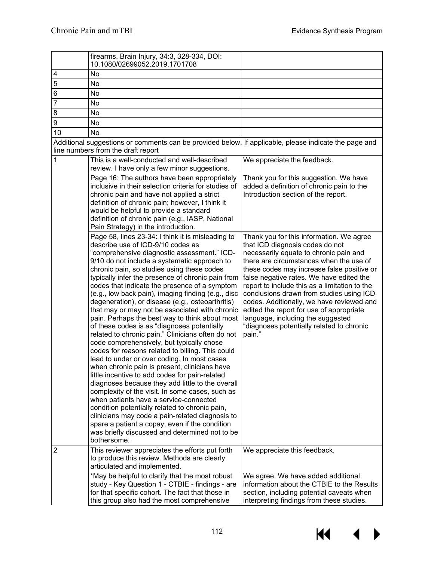|                         | firearms, Brain Injury, 34:3, 328-334, DOI:<br>10.1080/02699052.2019.1701708                                                                                                                                                                                                                                                                                                                                                                                                                                                                                                                                                                                                                                                                                                                                                                                                                                                                                                                                                                                                                                                                                                                                                                                                            |                                                                                                                                                                                                                                                                                                                                                                                                                                                                                                                                              |
|-------------------------|-----------------------------------------------------------------------------------------------------------------------------------------------------------------------------------------------------------------------------------------------------------------------------------------------------------------------------------------------------------------------------------------------------------------------------------------------------------------------------------------------------------------------------------------------------------------------------------------------------------------------------------------------------------------------------------------------------------------------------------------------------------------------------------------------------------------------------------------------------------------------------------------------------------------------------------------------------------------------------------------------------------------------------------------------------------------------------------------------------------------------------------------------------------------------------------------------------------------------------------------------------------------------------------------|----------------------------------------------------------------------------------------------------------------------------------------------------------------------------------------------------------------------------------------------------------------------------------------------------------------------------------------------------------------------------------------------------------------------------------------------------------------------------------------------------------------------------------------------|
| $\overline{\mathbf{4}}$ | No                                                                                                                                                                                                                                                                                                                                                                                                                                                                                                                                                                                                                                                                                                                                                                                                                                                                                                                                                                                                                                                                                                                                                                                                                                                                                      |                                                                                                                                                                                                                                                                                                                                                                                                                                                                                                                                              |
| 5                       | No                                                                                                                                                                                                                                                                                                                                                                                                                                                                                                                                                                                                                                                                                                                                                                                                                                                                                                                                                                                                                                                                                                                                                                                                                                                                                      |                                                                                                                                                                                                                                                                                                                                                                                                                                                                                                                                              |
| 6                       | No                                                                                                                                                                                                                                                                                                                                                                                                                                                                                                                                                                                                                                                                                                                                                                                                                                                                                                                                                                                                                                                                                                                                                                                                                                                                                      |                                                                                                                                                                                                                                                                                                                                                                                                                                                                                                                                              |
| $\overline{7}$          | No                                                                                                                                                                                                                                                                                                                                                                                                                                                                                                                                                                                                                                                                                                                                                                                                                                                                                                                                                                                                                                                                                                                                                                                                                                                                                      |                                                                                                                                                                                                                                                                                                                                                                                                                                                                                                                                              |
| 8                       | No                                                                                                                                                                                                                                                                                                                                                                                                                                                                                                                                                                                                                                                                                                                                                                                                                                                                                                                                                                                                                                                                                                                                                                                                                                                                                      |                                                                                                                                                                                                                                                                                                                                                                                                                                                                                                                                              |
| $\boldsymbol{9}$        | No                                                                                                                                                                                                                                                                                                                                                                                                                                                                                                                                                                                                                                                                                                                                                                                                                                                                                                                                                                                                                                                                                                                                                                                                                                                                                      |                                                                                                                                                                                                                                                                                                                                                                                                                                                                                                                                              |
| 10                      | <b>No</b>                                                                                                                                                                                                                                                                                                                                                                                                                                                                                                                                                                                                                                                                                                                                                                                                                                                                                                                                                                                                                                                                                                                                                                                                                                                                               |                                                                                                                                                                                                                                                                                                                                                                                                                                                                                                                                              |
|                         | Additional suggestions or comments can be provided below. If applicable, please indicate the page and                                                                                                                                                                                                                                                                                                                                                                                                                                                                                                                                                                                                                                                                                                                                                                                                                                                                                                                                                                                                                                                                                                                                                                                   |                                                                                                                                                                                                                                                                                                                                                                                                                                                                                                                                              |
|                         | line numbers from the draft report                                                                                                                                                                                                                                                                                                                                                                                                                                                                                                                                                                                                                                                                                                                                                                                                                                                                                                                                                                                                                                                                                                                                                                                                                                                      |                                                                                                                                                                                                                                                                                                                                                                                                                                                                                                                                              |
| 1                       | This is a well-conducted and well-described                                                                                                                                                                                                                                                                                                                                                                                                                                                                                                                                                                                                                                                                                                                                                                                                                                                                                                                                                                                                                                                                                                                                                                                                                                             | We appreciate the feedback.                                                                                                                                                                                                                                                                                                                                                                                                                                                                                                                  |
|                         | review. I have only a few minor suggestions.                                                                                                                                                                                                                                                                                                                                                                                                                                                                                                                                                                                                                                                                                                                                                                                                                                                                                                                                                                                                                                                                                                                                                                                                                                            |                                                                                                                                                                                                                                                                                                                                                                                                                                                                                                                                              |
|                         | Page 16: The authors have been appropriately<br>inclusive in their selection criteria for studies of<br>chronic pain and have not applied a strict<br>definition of chronic pain; however, I think it<br>would be helpful to provide a standard<br>definition of chronic pain (e.g., IASP, National<br>Pain Strategy) in the introduction.                                                                                                                                                                                                                                                                                                                                                                                                                                                                                                                                                                                                                                                                                                                                                                                                                                                                                                                                              | Thank you for this suggestion. We have<br>added a definition of chronic pain to the<br>Introduction section of the report.                                                                                                                                                                                                                                                                                                                                                                                                                   |
|                         | Page 58, lines 23-34: I think it is misleading to<br>describe use of ICD-9/10 codes as<br>"comprehensive diagnostic assessment." ICD-<br>9/10 do not include a systematic approach to<br>chronic pain, so studies using these codes<br>typically infer the presence of chronic pain from<br>codes that indicate the presence of a symptom<br>(e.g., low back pain), imaging finding (e.g., disc<br>degeneration), or disease (e.g., osteoarthritis)<br>that may or may not be associated with chronic<br>pain. Perhaps the best way to think about most<br>of these codes is as "diagnoses potentially<br>related to chronic pain." Clinicians often do not<br>code comprehensively, but typically chose<br>codes for reasons related to billing. This could<br>lead to under or over coding. In most cases<br>when chronic pain is present, clinicians have<br>little incentive to add codes for pain-related<br>diagnoses because they add little to the overall<br>complexity of the visit. In some cases, such as<br>when patients have a service-connected<br>condition potentially related to chronic pain,<br>clinicians may code a pain-related diagnosis to<br>spare a patient a copay, even if the condition<br>was briefly discussed and determined not to be<br>bothersome. | Thank you for this information. We agree<br>that ICD diagnosis codes do not<br>necessarily equate to chronic pain and<br>there are circumstances when the use of<br>these codes may increase false positive or<br>false negative rates. We have edited the<br>report to include this as a limitation to the<br>conclusions drawn from studies using ICD<br>codes. Additionally, we have reviewed and<br>edited the report for use of appropriate<br>language, including the suggested<br>"diagnoses potentially related to chronic<br>pain." |
| $\overline{2}$          | This reviewer appreciates the efforts put forth<br>to produce this review. Methods are clearly                                                                                                                                                                                                                                                                                                                                                                                                                                                                                                                                                                                                                                                                                                                                                                                                                                                                                                                                                                                                                                                                                                                                                                                          | We appreciate this feedback.                                                                                                                                                                                                                                                                                                                                                                                                                                                                                                                 |
|                         | articulated and implemented.<br>*May be helpful to clarify that the most robust<br>study - Key Question 1 - CTBIE - findings - are<br>for that specific cohort. The fact that those in<br>this group also had the most comprehensive                                                                                                                                                                                                                                                                                                                                                                                                                                                                                                                                                                                                                                                                                                                                                                                                                                                                                                                                                                                                                                                    | We agree. We have added additional<br>information about the CTBIE to the Results<br>section, including potential caveats when<br>interpreting findings from these studies.                                                                                                                                                                                                                                                                                                                                                                   |

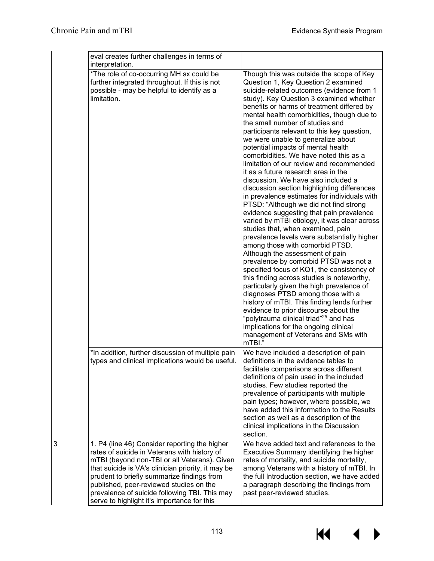|   | eval creates further challenges in terms of<br>interpretation.                                                                                                                                                                                                                                                                                                                               |                                                                                                                                                                                                                                                                                                                                                                                                                                                                                                                                                                                                                                                                                                                                                                                                                                                                                                                                                                                                                                                                                                                                                                                                                                                                                                                                                                                                                                                                    |
|---|----------------------------------------------------------------------------------------------------------------------------------------------------------------------------------------------------------------------------------------------------------------------------------------------------------------------------------------------------------------------------------------------|--------------------------------------------------------------------------------------------------------------------------------------------------------------------------------------------------------------------------------------------------------------------------------------------------------------------------------------------------------------------------------------------------------------------------------------------------------------------------------------------------------------------------------------------------------------------------------------------------------------------------------------------------------------------------------------------------------------------------------------------------------------------------------------------------------------------------------------------------------------------------------------------------------------------------------------------------------------------------------------------------------------------------------------------------------------------------------------------------------------------------------------------------------------------------------------------------------------------------------------------------------------------------------------------------------------------------------------------------------------------------------------------------------------------------------------------------------------------|
|   | *The role of co-occurring MH sx could be<br>further integrated throughout. If this is not<br>possible - may be helpful to identify as a<br>limitation.                                                                                                                                                                                                                                       | Though this was outside the scope of Key<br>Question 1, Key Question 2 examined<br>suicide-related outcomes (evidence from 1<br>study). Key Question 3 examined whether<br>benefits or harms of treatment differed by<br>mental health comorbidities, though due to<br>the small number of studies and<br>participants relevant to this key question,<br>we were unable to generalize about<br>potential impacts of mental health<br>comorbidities. We have noted this as a<br>limitation of our review and recommended<br>it as a future research area in the<br>discussion. We have also included a<br>discussion section highlighting differences<br>in prevalence estimates for individuals with<br>PTSD: "Although we did not find strong<br>evidence suggesting that pain prevalence<br>varied by mTBI etiology, it was clear across<br>studies that, when examined, pain<br>prevalence levels were substantially higher<br>among those with comorbid PTSD.<br>Although the assessment of pain<br>prevalence by comorbid PTSD was not a<br>specified focus of KQ1, the consistency of<br>this finding across studies is noteworthy,<br>particularly given the high prevalence of<br>diagnoses PTSD among those with a<br>history of mTBI. This finding lends further<br>evidence to prior discourse about the<br>"polytrauma clinical triad" <sup>25</sup> and has<br>implications for the ongoing clinical<br>management of Veterans and SMs with<br>mTBI." |
|   | *In addition, further discussion of multiple pain<br>types and clinical implications would be useful.                                                                                                                                                                                                                                                                                        | We have included a description of pain<br>definitions in the evidence tables to<br>facilitate comparisons across different<br>definitions of pain used in the included<br>studies. Few studies reported the<br>prevalence of participants with multiple<br>pain types; however, where possible, we<br>have added this information to the Results<br>section as well as a description of the<br>clinical implications in the Discussion<br>section.                                                                                                                                                                                                                                                                                                                                                                                                                                                                                                                                                                                                                                                                                                                                                                                                                                                                                                                                                                                                                 |
| 3 | 1. P4 (line 46) Consider reporting the higher<br>rates of suicide in Veterans with history of<br>mTBI (beyond non-TBI or all Veterans). Given<br>that suicide is VA's clinician priority, it may be<br>prudent to briefly summarize findings from<br>published, peer-reviewed studies on the<br>prevalence of suicide following TBI. This may<br>serve to highlight it's importance for this | We have added text and references to the<br>Executive Summary identifying the higher<br>rates of mortality, and suicide mortality,<br>among Veterans with a history of mTBI. In<br>the full Introduction section, we have added<br>a paragraph describing the findings from<br>past peer-reviewed studies.                                                                                                                                                                                                                                                                                                                                                                                                                                                                                                                                                                                                                                                                                                                                                                                                                                                                                                                                                                                                                                                                                                                                                         |

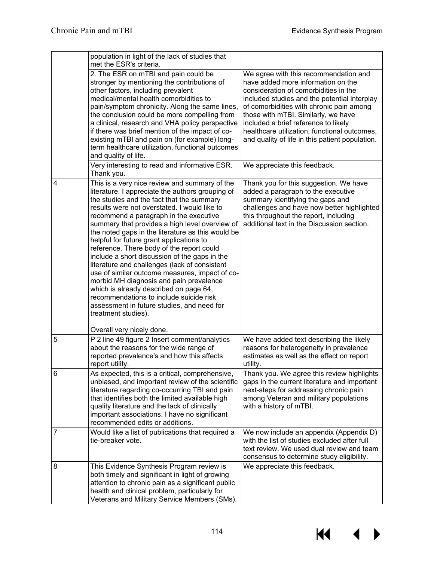$M \leftarrow \leftarrow$ 

|                | population in light of the lack of studies that<br>met the ESR's criteria.                                                                                                                                                                                                                                                                                                                                                                                                                                                                                                                                                                                                                                                                                                                                                     |                                                                                                                                                                                                                                                                                                                                                                                                    |
|----------------|--------------------------------------------------------------------------------------------------------------------------------------------------------------------------------------------------------------------------------------------------------------------------------------------------------------------------------------------------------------------------------------------------------------------------------------------------------------------------------------------------------------------------------------------------------------------------------------------------------------------------------------------------------------------------------------------------------------------------------------------------------------------------------------------------------------------------------|----------------------------------------------------------------------------------------------------------------------------------------------------------------------------------------------------------------------------------------------------------------------------------------------------------------------------------------------------------------------------------------------------|
|                | 2. The ESR on mTBI and pain could be<br>stronger by mentioning the contributions of<br>other factors, including prevalent<br>medical/mental health comorbidities to<br>pain/symptom chronicity. Along the same lines,<br>the conclusion could be more compelling from<br>a clinical, research and VHA policy perspective<br>if there was brief mention of the impact of co-<br>existing mTBI and pain on (for example) long-<br>term healthcare utilization, functional outcomes<br>and quality of life.                                                                                                                                                                                                                                                                                                                       | We agree with this recommendation and<br>have added more information on the<br>consideration of comorbidities in the<br>included studies and the potential interplay<br>of comorbidities with chronic pain among<br>those with mTBI. Similarly, we have<br>included a brief reference to likely<br>healthcare utilization, functional outcomes,<br>and quality of life in this patient population. |
|                | Very interesting to read and informative ESR.<br>Thank you.                                                                                                                                                                                                                                                                                                                                                                                                                                                                                                                                                                                                                                                                                                                                                                    | We appreciate this feedback.                                                                                                                                                                                                                                                                                                                                                                       |
| $\overline{4}$ | This is a very nice review and summary of the<br>literature. I appreciate the authors grouping of<br>the studies and the fact that the summary<br>results were not overstated. I would like to<br>recommend a paragraph in the executive<br>summary that provides a high level overview of<br>the noted gaps in the literature as this would be<br>helpful for future grant applications to<br>reference. There body of the report could<br>include a short discussion of the gaps in the<br>literature and challenges (lack of consistent<br>use of similar outcome measures, impact of co-<br>morbid MH diagnosis and pain prevalence<br>which is already described on page 64,<br>recommendations to include suicide risk<br>assessment in future studies, and need for<br>treatment studies).<br>Overall very nicely done. | Thank you for this suggestion. We have<br>added a paragraph to the executive<br>summary identifying the gaps and<br>challenges and have now better highlighted<br>this throughout the report, including<br>additional text in the Discussion section.                                                                                                                                              |
| 5              | P 2 line 49 figure 2 Insert comment/analytics<br>about the reasons for the wide range of<br>reported prevalence's and how this affects<br>report utility.                                                                                                                                                                                                                                                                                                                                                                                                                                                                                                                                                                                                                                                                      | We have added text describing the likely<br>reasons for heterogeneity in prevalence<br>estimates as well as the effect on report<br>utility.                                                                                                                                                                                                                                                       |
| $\,6$          | As expected, this is a critical, comprehensive,<br>unbiased, and important review of the scientific<br>literature regarding co-occurring TBI and pain<br>that identifies both the limited available high<br>quality literature and the lack of clinically<br>important associations. I have no significant<br>recommended edits or additions.                                                                                                                                                                                                                                                                                                                                                                                                                                                                                  | Thank you. We agree this review highlights<br>gaps in the current literature and important<br>next-steps for addressing chronic pain<br>among Veteran and military populations<br>with a history of mTBI.                                                                                                                                                                                          |
| $\overline{7}$ | Would like a list of publications that required a<br>tie-breaker vote.                                                                                                                                                                                                                                                                                                                                                                                                                                                                                                                                                                                                                                                                                                                                                         | We now include an appendix (Appendix D)<br>with the list of studies excluded after full<br>text review. We used dual review and team<br>consensus to determine study eligibility.                                                                                                                                                                                                                  |
| 8              | This Evidence Synthesis Program review is<br>both timely and significant in light of growing<br>attention to chronic pain as a significant public<br>health and clinical problem, particularly for<br>Veterans and Military Service Members (SMs).                                                                                                                                                                                                                                                                                                                                                                                                                                                                                                                                                                             | We appreciate this feedback.                                                                                                                                                                                                                                                                                                                                                                       |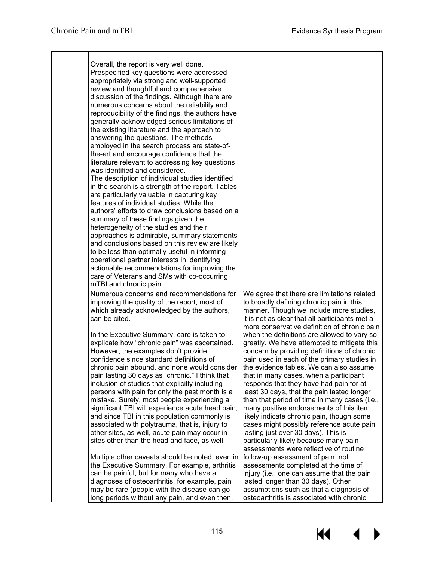$\blacktriangleleft$ 

 $\blacktriangleright$ 

 $M$ 

| Overall, the report is very well done.<br>Prespecified key questions were addressed<br>appropriately via strong and well-supported<br>review and thoughtful and comprehensive<br>discussion of the findings. Although there are<br>numerous concerns about the reliability and<br>reproducibility of the findings, the authors have<br>generally acknowledged serious limitations of<br>the existing literature and the approach to<br>answering the questions. The methods<br>employed in the search process are state-of-<br>the-art and encourage confidence that the<br>literature relevant to addressing key questions<br>was identified and considered.<br>The description of individual studies identified<br>in the search is a strength of the report. Tables<br>are particularly valuable in capturing key<br>features of individual studies. While the<br>authors' efforts to draw conclusions based on a<br>summary of these findings given the<br>heterogeneity of the studies and their<br>approaches is admirable, summary statements<br>and conclusions based on this review are likely<br>to be less than optimally useful in informing<br>operational partner interests in identifying<br>actionable recommendations for improving the<br>care of Veterans and SMs with co-occurring<br>mTBI and chronic pain. |                                                                                                                                                                                                                                                                                                                                                                                                                                                                                                                                                                                                                                                                                        |
|----------------------------------------------------------------------------------------------------------------------------------------------------------------------------------------------------------------------------------------------------------------------------------------------------------------------------------------------------------------------------------------------------------------------------------------------------------------------------------------------------------------------------------------------------------------------------------------------------------------------------------------------------------------------------------------------------------------------------------------------------------------------------------------------------------------------------------------------------------------------------------------------------------------------------------------------------------------------------------------------------------------------------------------------------------------------------------------------------------------------------------------------------------------------------------------------------------------------------------------------------------------------------------------------------------------------------------|----------------------------------------------------------------------------------------------------------------------------------------------------------------------------------------------------------------------------------------------------------------------------------------------------------------------------------------------------------------------------------------------------------------------------------------------------------------------------------------------------------------------------------------------------------------------------------------------------------------------------------------------------------------------------------------|
| Numerous concerns and recommendations for<br>improving the quality of the report, most of<br>which already acknowledged by the authors,<br>can be cited.                                                                                                                                                                                                                                                                                                                                                                                                                                                                                                                                                                                                                                                                                                                                                                                                                                                                                                                                                                                                                                                                                                                                                                         | We agree that there are limitations related<br>to broadly defining chronic pain in this<br>manner. Though we include more studies,<br>it is not as clear that all participants met a<br>more conservative definition of chronic pain                                                                                                                                                                                                                                                                                                                                                                                                                                                   |
| In the Executive Summary, care is taken to<br>explicate how "chronic pain" was ascertained.<br>However, the examples don't provide<br>confidence since standard definitions of<br>chronic pain abound, and none would consider<br>pain lasting 30 days as "chronic." I think that<br>inclusion of studies that explicitly including<br>persons with pain for only the past month is a<br>mistake. Surely, most people experiencing a<br>significant TBI will experience acute head pain,<br>and since TBI in this population commonly is<br>associated with polytrauma, that is, injury to<br>other sites, as well, acute pain may occur in<br>sites other than the head and face, as well.                                                                                                                                                                                                                                                                                                                                                                                                                                                                                                                                                                                                                                      | when the definitions are allowed to vary so<br>greatly. We have attempted to mitigate this<br>concern by providing definitions of chronic<br>pain used in each of the primary studies in<br>the evidence tables. We can also assume<br>that in many cases, when a participant<br>responds that they have had pain for at<br>least 30 days, that the pain lasted longer<br>than that period of time in many cases (i.e.,<br>many positive endorsements of this item<br>likely indicate chronic pain, though some<br>cases might possibly reference acute pain<br>lasting just over 30 days). This is<br>particularly likely because many pain<br>assessments were reflective of routine |
| Multiple other caveats should be noted, even in<br>the Executive Summary. For example, arthritis<br>can be painful, but for many who have a<br>diagnoses of osteoarthritis, for example, pain<br>may be rare (people with the disease can go<br>long periods without any pain, and even then,                                                                                                                                                                                                                                                                                                                                                                                                                                                                                                                                                                                                                                                                                                                                                                                                                                                                                                                                                                                                                                    | follow-up assessment of pain, not<br>assessments completed at the time of<br>injury (i.e., one can assume that the pain<br>lasted longer than 30 days). Other<br>assumptions such as that a diagnosis of<br>osteoarthritis is associated with chronic                                                                                                                                                                                                                                                                                                                                                                                                                                  |

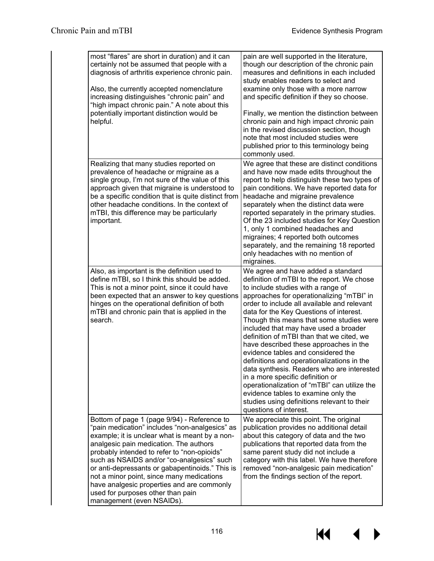$M \sim 1$ 

 $\blacktriangleright$ 

| most "flares" are short in duration) and it can<br>certainly not be assumed that people with a<br>diagnosis of arthritis experience chronic pain.<br>Also, the currently accepted nomenclature<br>increasing distinguishes "chronic pain" and<br>"high impact chronic pain." A note about this<br>potentially important distinction would be<br>helpful.                                                                                                                                               | pain are well supported in the literature,<br>though our description of the chronic pain<br>measures and definitions in each included<br>study enables readers to select and<br>examine only those with a more narrow<br>and specific definition if they so choose.<br>Finally, we mention the distinction between<br>chronic pain and high impact chronic pain<br>in the revised discussion section, though<br>note that most included studies were<br>published prior to this terminology being<br>commonly used.                                                                                                                                                                                                                                                             |
|--------------------------------------------------------------------------------------------------------------------------------------------------------------------------------------------------------------------------------------------------------------------------------------------------------------------------------------------------------------------------------------------------------------------------------------------------------------------------------------------------------|---------------------------------------------------------------------------------------------------------------------------------------------------------------------------------------------------------------------------------------------------------------------------------------------------------------------------------------------------------------------------------------------------------------------------------------------------------------------------------------------------------------------------------------------------------------------------------------------------------------------------------------------------------------------------------------------------------------------------------------------------------------------------------|
| Realizing that many studies reported on<br>prevalence of headache or migraine as a<br>single group, I'm not sure of the value of this<br>approach given that migraine is understood to<br>be a specific condition that is quite distinct from<br>other headache conditions. In the context of<br>mTBI, this difference may be particularly<br>important.                                                                                                                                               | We agree that these are distinct conditions<br>and have now made edits throughout the<br>report to help distinguish these two types of<br>pain conditions. We have reported data for<br>headache and migraine prevalence<br>separately when the distinct data were<br>reported separately in the primary studies.<br>Of the 23 included studies for Key Question<br>1, only 1 combined headaches and<br>migraines; 4 reported both outcomes<br>separately, and the remaining 18 reported<br>only headaches with no mention of<br>migraines.                                                                                                                                                                                                                                     |
| Also, as important is the definition used to<br>define mTBI, so I think this should be added.<br>This is not a minor point, since it could have<br>been expected that an answer to key questions<br>hinges on the operational definition of both<br>mTBI and chronic pain that is applied in the<br>search.                                                                                                                                                                                            | We agree and have added a standard<br>definition of mTBI to the report. We chose<br>to include studies with a range of<br>approaches for operationalizing "mTBI" in<br>order to include all available and relevant<br>data for the Key Questions of interest.<br>Though this means that some studies were<br>included that may have used a broader<br>definition of mTBI than that we cited, we<br>have described these approaches in the<br>evidence tables and considered the<br>definitions and operationalizations in the<br>data synthesis. Readers who are interested<br>in a more specific definition or<br>operationalization of "mTBI" can utilize the<br>evidence tables to examine only the<br>studies using definitions relevant to their<br>questions of interest. |
| Bottom of page 1 (page 9/94) - Reference to<br>"pain medication" includes "non-analgesics" as<br>example; it is unclear what is meant by a non-<br>analgesic pain medication. The authors<br>probably intended to refer to "non-opioids"<br>such as NSAIDS and/or "co-analgesics" such<br>or anti-depressants or gabapentinoids." This is<br>not a minor point, since many medications<br>have analgesic properties and are commonly<br>used for purposes other than pain<br>management (even NSAIDs). | We appreciate this point. The original<br>publication provides no additional detail<br>about this category of data and the two<br>publications that reported data from the<br>same parent study did not include a<br>category with this label. We have therefore<br>removed "non-analgesic pain medication"<br>from the findings section of the report.                                                                                                                                                                                                                                                                                                                                                                                                                         |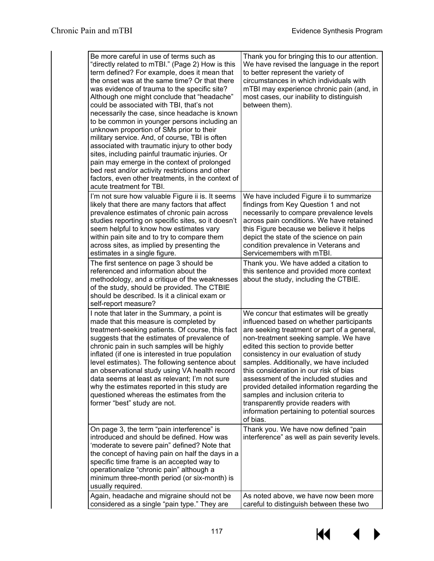| Be more careful in use of terms such as<br>"directly related to mTBI." (Page 2) How is this<br>term defined? For example, does it mean that<br>the onset was at the same time? Or that there<br>was evidence of trauma to the specific site?<br>Although one might conclude that "headache"<br>could be associated with TBI, that's not<br>necessarily the case, since headache is known<br>to be common in younger persons including an<br>unknown proportion of SMs prior to their<br>military service. And, of course, TBI is often<br>associated with traumatic injury to other body<br>sites, including painful traumatic injuries. Or<br>pain may emerge in the context of prolonged<br>bed rest and/or activity restrictions and other<br>factors, even other treatments, in the context of<br>acute treatment for TBI. | Thank you for bringing this to our attention.<br>We have revised the language in the report<br>to better represent the variety of<br>circumstances in which individuals with<br>mTBI may experience chronic pain (and, in<br>most cases, our inability to distinguish<br>between them).                                                                                                                                                                                                                                                                                             |
|--------------------------------------------------------------------------------------------------------------------------------------------------------------------------------------------------------------------------------------------------------------------------------------------------------------------------------------------------------------------------------------------------------------------------------------------------------------------------------------------------------------------------------------------------------------------------------------------------------------------------------------------------------------------------------------------------------------------------------------------------------------------------------------------------------------------------------|-------------------------------------------------------------------------------------------------------------------------------------------------------------------------------------------------------------------------------------------------------------------------------------------------------------------------------------------------------------------------------------------------------------------------------------------------------------------------------------------------------------------------------------------------------------------------------------|
| I'm not sure how valuable Figure ii is. It seems<br>likely that there are many factors that affect<br>prevalence estimates of chronic pain across<br>studies reporting on specific sites, so it doesn't<br>seem helpful to know how estimates vary<br>within pain site and to try to compare them<br>across sites, as implied by presenting the<br>estimates in a single figure.                                                                                                                                                                                                                                                                                                                                                                                                                                               | We have included Figure ii to summarize<br>findings from Key Question 1 and not<br>necessarily to compare prevalence levels<br>across pain conditions. We have retained<br>this Figure because we believe it helps<br>depict the state of the science on pain<br>condition prevalence in Veterans and<br>Servicemembers with mTBI.                                                                                                                                                                                                                                                  |
| The first sentence on page 3 should be<br>referenced and information about the<br>methodology, and a critique of the weaknesses<br>of the study, should be provided. The CTBIE<br>should be described. Is it a clinical exam or<br>self-report measure?                                                                                                                                                                                                                                                                                                                                                                                                                                                                                                                                                                        | Thank you. We have added a citation to<br>this sentence and provided more context<br>about the study, including the CTBIE.                                                                                                                                                                                                                                                                                                                                                                                                                                                          |
| I note that later in the Summary, a point is<br>made that this measure is completed by<br>treatment-seeking patients. Of course, this fact<br>suggests that the estimates of prevalence of<br>chronic pain in such samples will be highly<br>inflated (if one is interested in true population<br>level estimates). The following sentence about<br>an observational study using VA health record<br>data seems at least as relevant; I'm not sure<br>why the estimates reported in this study are<br>questioned whereas the estimates from the<br>former "best" study are not.                                                                                                                                                                                                                                                | We concur that estimates will be greatly<br>influenced based on whether participants<br>are seeking treatment or part of a general,<br>non-treatment seeking sample. We have<br>edited this section to provide better<br>consistency in our evaluation of study<br>samples. Additionally, we have included<br>this consideration in our risk of bias<br>assessment of the included studies and<br>provided detailed information regarding the<br>samples and inclusion criteria to<br>transparently provide readers with<br>information pertaining to potential sources<br>of bias. |
| On page 3, the term "pain interference" is<br>introduced and should be defined. How was<br>'moderate to severe pain" defined? Note that<br>the concept of having pain on half the days in a<br>specific time frame is an accepted way to<br>operationalize "chronic pain" although a<br>minimum three-month period (or six-month) is<br>usually required.<br>Again, headache and migraine should not be                                                                                                                                                                                                                                                                                                                                                                                                                        | Thank you. We have now defined "pain<br>interference" as well as pain severity levels.<br>As noted above, we have now been more                                                                                                                                                                                                                                                                                                                                                                                                                                                     |
| considered as a single "pain type." They are                                                                                                                                                                                                                                                                                                                                                                                                                                                                                                                                                                                                                                                                                                                                                                                   | careful to distinguish between these two                                                                                                                                                                                                                                                                                                                                                                                                                                                                                                                                            |

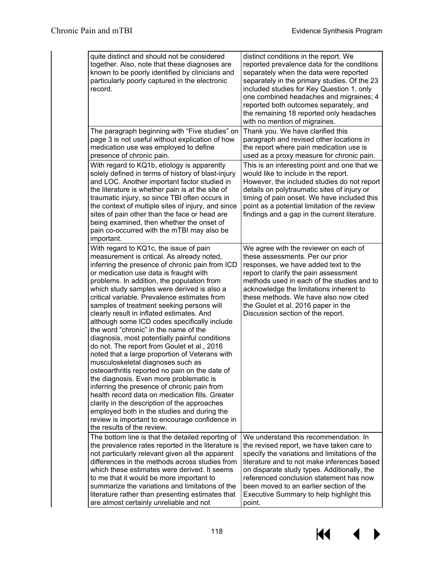| quite distinct and should not be considered<br>together. Also, note that these diagnoses are<br>known to be poorly identified by clinicians and<br>particularly poorly captured in the electronic<br>record.                                                                                                                                                                                                                                                                                                                                                                                                                                                                                                                                                                                                                                                                                                                                                                                                                                                                           | distinct conditions in the report. We<br>reported prevalence data for the conditions<br>separately when the data were reported<br>separately in the primary studies. Of the 23<br>included studies for Key Question 1, only<br>one combined headaches and migraines; 4<br>reported both outcomes separately, and<br>the remaining 18 reported only headaches<br>with no mention of migraines. |
|----------------------------------------------------------------------------------------------------------------------------------------------------------------------------------------------------------------------------------------------------------------------------------------------------------------------------------------------------------------------------------------------------------------------------------------------------------------------------------------------------------------------------------------------------------------------------------------------------------------------------------------------------------------------------------------------------------------------------------------------------------------------------------------------------------------------------------------------------------------------------------------------------------------------------------------------------------------------------------------------------------------------------------------------------------------------------------------|-----------------------------------------------------------------------------------------------------------------------------------------------------------------------------------------------------------------------------------------------------------------------------------------------------------------------------------------------------------------------------------------------|
| The paragraph beginning with "Five studies" on<br>page 3 is not useful without explication of how<br>medication use was employed to define<br>presence of chronic pain.                                                                                                                                                                                                                                                                                                                                                                                                                                                                                                                                                                                                                                                                                                                                                                                                                                                                                                                | Thank you. We have clarified this<br>paragraph and revised other locations in<br>the report where pain medication use is<br>used as a proxy measure for chronic pain.                                                                                                                                                                                                                         |
| With regard to KQ1b, etiology is apparently<br>solely defined in terms of history of blast-injury<br>and LOC. Another important factor studied in<br>the literature is whether pain is at the site of<br>traumatic injury, so since TBI often occurs in<br>the context of multiple sites of injury, and since<br>sites of pain other than the face or head are<br>being examined, then whether the onset of<br>pain co-occurred with the mTBI may also be<br>important.                                                                                                                                                                                                                                                                                                                                                                                                                                                                                                                                                                                                                | This is an interesting point and one that we<br>would like to include in the report.<br>However, the included studies do not report<br>details on polytraumatic sites of injury or<br>timing of pain onset. We have included this<br>point as a potential limitation of the review<br>findings and a gap in the current literature.                                                           |
| With regard to KQ1c, the issue of pain<br>measurement is critical. As already noted,<br>inferring the presence of chronic pain from ICD<br>or medication use data is fraught with<br>problems. In addition, the population from<br>which study samples were derived is also a<br>critical variable. Prevalence estimates from<br>samples of treatment seeking persons will<br>clearly result in inflated estimates. And<br>although some ICD codes specifically include<br>the word "chronic" in the name of the<br>diagnosis, most potentially painful conditions<br>do not. The report from Goulet et al., 2016<br>noted that a large proportion of Veterans with<br>musculoskeletal diagnoses such as<br>osteoarthritis reported no pain on the date of<br>the diagnosis. Even more problematic is<br>inferring the presence of chronic pain from<br>health record data on medication fills. Greater<br>clarity in the description of the approaches<br>employed both in the studies and during the<br>review is important to encourage confidence in<br>the results of the review. | We agree with the reviewer on each of<br>these assessments. Per our prior<br>responses, we have added text to the<br>report to clarify the pain assessment<br>methods used in each of the studies and to<br>acknowledge the limitations inherent to<br>these methods. We have also now cited<br>the Goulet et al. 2016 paper in the<br>Discussion section of the report.                      |
| The bottom line is that the detailed reporting of<br>the prevalence rates reported in the literature is<br>not particularly relevant given all the apparent<br>differences in the methods across studies from<br>which these estimates were derived. It seems<br>to me that it would be more important to<br>summarize the variations and limitations of the<br>literature rather than presenting estimates that<br>are almost certainly unreliable and not                                                                                                                                                                                                                                                                                                                                                                                                                                                                                                                                                                                                                            | We understand this recommendation. In<br>the revised report, we have taken care to<br>specify the variations and limitations of the<br>literature and to not make inferences based<br>on disparate study types. Additionally, the<br>referenced conclusion statement has now<br>been moved to an earlier section of the<br>Executive Summary to help highlight this<br>point.                 |

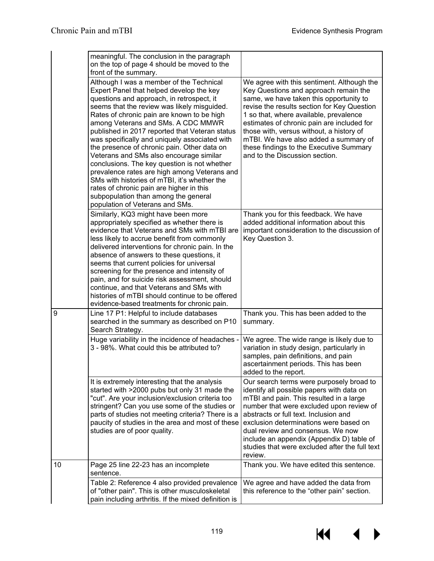$\blacklozenge$ 

 $\blacktriangleright$ 

KI

|    | meaningful. The conclusion in the paragraph<br>on the top of page 4 should be moved to the<br>front of the summary.                                                                                                                                                                                                                                                                                                                                                                                                                                                                                                                                                                                                                      |                                                                                                                                                                                                                                                                                                                                                                                                                                         |
|----|------------------------------------------------------------------------------------------------------------------------------------------------------------------------------------------------------------------------------------------------------------------------------------------------------------------------------------------------------------------------------------------------------------------------------------------------------------------------------------------------------------------------------------------------------------------------------------------------------------------------------------------------------------------------------------------------------------------------------------------|-----------------------------------------------------------------------------------------------------------------------------------------------------------------------------------------------------------------------------------------------------------------------------------------------------------------------------------------------------------------------------------------------------------------------------------------|
|    | Although I was a member of the Technical<br>Expert Panel that helped develop the key<br>questions and approach, in retrospect, it<br>seems that the review was likely misguided.<br>Rates of chronic pain are known to be high<br>among Veterans and SMs. A CDC MMWR<br>published in 2017 reported that Veteran status<br>was specifically and uniquely associated with<br>the presence of chronic pain. Other data on<br>Veterans and SMs also encourage similar<br>conclusions. The key question is not whether<br>prevalence rates are high among Veterans and<br>SMs with histories of mTBI, it's whether the<br>rates of chronic pain are higher in this<br>subpopulation than among the general<br>population of Veterans and SMs. | We agree with this sentiment. Although the<br>Key Questions and approach remain the<br>same, we have taken this opportunity to<br>revise the results section for Key Question<br>1 so that, where available, prevalence<br>estimates of chronic pain are included for<br>those with, versus without, a history of<br>mTBI. We have also added a summary of<br>these findings to the Executive Summary<br>and to the Discussion section. |
|    | Similarly, KQ3 might have been more<br>appropriately specified as whether there is<br>evidence that Veterans and SMs with mTBI are<br>less likely to accrue benefit from commonly<br>delivered interventions for chronic pain. In the<br>absence of answers to these questions, it<br>seems that current policies for universal<br>screening for the presence and intensity of<br>pain, and for suicide risk assessment, should<br>continue, and that Veterans and SMs with<br>histories of mTBI should continue to be offered<br>evidence-based treatments for chronic pain.                                                                                                                                                            | Thank you for this feedback. We have<br>added additional information about this<br>important consideration to the discussion of<br>Key Question 3.                                                                                                                                                                                                                                                                                      |
| 9  | Line 17 P1: Helpful to include databases<br>searched in the summary as described on P10<br>Search Strategy.                                                                                                                                                                                                                                                                                                                                                                                                                                                                                                                                                                                                                              | Thank you. This has been added to the<br>summary.                                                                                                                                                                                                                                                                                                                                                                                       |
|    | Huge variability in the incidence of headaches -<br>3 - 98%. What could this be attributed to?                                                                                                                                                                                                                                                                                                                                                                                                                                                                                                                                                                                                                                           | We agree. The wide range is likely due to<br>variation in study design, particularly in<br>samples, pain definitions, and pain<br>ascertainment periods. This has been<br>added to the report.                                                                                                                                                                                                                                          |
|    | It is extremely interesting that the analysis<br>started with >2000 pubs but only 31 made the<br>"cut". Are your inclusion/exclusion criteria too<br>stringent? Can you use some of the studies or<br>parts of studies not meeting criteria? There is a<br>paucity of studies in the area and most of these<br>studies are of poor quality.                                                                                                                                                                                                                                                                                                                                                                                              | Our search terms were purposely broad to<br>identify all possible papers with data on<br>mTBI and pain. This resulted in a large<br>number that were excluded upon review of<br>abstracts or full text. Inclusion and<br>exclusion determinations were based on<br>dual review and consensus. We now<br>include an appendix (Appendix D) table of<br>studies that were excluded after the full text<br>review.                          |
| 10 | Page 25 line 22-23 has an incomplete<br>sentence.                                                                                                                                                                                                                                                                                                                                                                                                                                                                                                                                                                                                                                                                                        | Thank you. We have edited this sentence.                                                                                                                                                                                                                                                                                                                                                                                                |
|    | Table 2: Reference 4 also provided prevalence<br>of "other pain". This is other musculoskeletal<br>pain including arthritis. If the mixed definition is                                                                                                                                                                                                                                                                                                                                                                                                                                                                                                                                                                                  | We agree and have added the data from<br>this reference to the "other pain" section.                                                                                                                                                                                                                                                                                                                                                    |